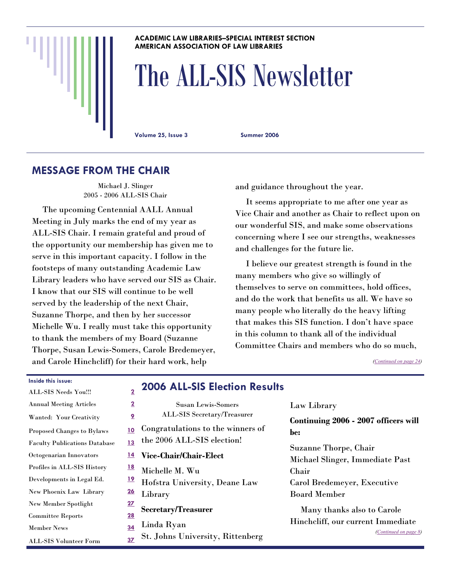#### **ACADEMIC LAW LIBRARIES–SPECIAL INTEREST SECTION AMERICAN ASSOCIATION OF LAW LIBRARIES**

# The ALL-SIS Newsletter

**Volume 25, Issue 3 Summer 2006** 

# **MESSAGE FROM THE CHAIR**

Michael J. Slinger 2005 - 2006 ALL-SIS Chair

 The upcoming Centennial AALL Annual Meeting in July marks the end of my year as ALL-SIS Chair. I remain grateful and proud of the opportunity our membership has given me to serve in this important capacity. I follow in the footsteps of many outstanding Academic Law Library leaders who have served our SIS as Chair. I know that our SIS will continue to be well served by the leadership of the next Chair, Suzanne Thorpe, and then by her successor Michelle Wu. I really must take this opportunity to thank the members of my Board (Suzanne Thorpe, Susan Lewis-Somers, Carole Bredemeyer, and Carole Hinchcliff) for their hard work, help

and guidance throughout the year.

 It seems appropriate to me after one year as Vice Chair and another as Chair to reflect upon on our wonderful SIS, and make some observations concerning where I see our strengths, weaknesses and challenges for the future lie.

 I believe our greatest strength is found in the many members who give so willingly of themselves to serve on committees, hold offices, and do the work that benefits us all. We have so many people who literally do the heavy lifting that makes this SIS function. I don't have space in this column to thank all of the individual Committee Chairs and members who do so much,

*([Continued on page 24\)](#page-23-0)* 

| <b>ALL-SIS Needs You!!!</b>          | $\overline{\mathbf{2}}$ | 2006 AI           |
|--------------------------------------|-------------------------|-------------------|
| <b>Annual Meeting Articles</b>       | $\overline{\mathbf{2}}$ | S                 |
| Wanted: Your Creativity              | 2                       | ALL-3             |
| <b>Proposed Changes to Bylaws</b>    | 10                      | Congratula        |
| <b>Faculty Publications Database</b> | <u>13</u>               | the 2006 A        |
| Octogenarian Innovators              | <u> 14</u>              | <b>Vice-Chair</b> |
| Profiles in ALL-SIS History          | <u>18</u>               | Michelle M        |
| Developments in Legal Ed.            | <u> 19</u>              | Hofstra U         |
| New Phoenix Law Library              | <u>26</u>               | Library           |
| New Member Spotlight                 | <u>27</u>               | Secretary/']      |
| <b>Committee Reports</b>             | 28                      |                   |
| <b>Member News</b>                   | 34                      | Linda Rya         |
| <b>ALL-SIS Volunteer Form</b>        | 37                      | St. Johns l       |

**Inside this issue:** 

# **2006 ALL-SIS Election Results**

| =                       |                                         |
|-------------------------|-----------------------------------------|
| 2                       | <b>Susan Lewis-Somers</b>               |
| 2                       | ALL-SIS Secretary/Treasurer             |
| $\overline{\mathbf{2}}$ | Congratulations to the winners of       |
| 3                       | the 2006 ALL-SIS election!              |
| Ł                       | Vice-Chair/Chair-Elect                  |
| $\overline{\mathbf{3}}$ | Michelle M. Wu                          |
| 2                       | Hofstra University, Deane Law           |
| $\overline{\mathbf{b}}$ | Library                                 |
| $\overline{z}$<br>3     | Secretary/Treasurer                     |
| $\overline{\mathbf{1}}$ | Linda Ryan                              |
| ,                       | <b>St. Johns University, Rittenberg</b> |

Law Library

**Continuing 2006 - 2007 officers will be:** 

Suzanne Thorpe, Chair Michael Slinger, Immediate Past Chair Carol Bredemeyer, Executive Board Member

 Many thanks also to Carole Hinchcliff, our current Immediate *[\(Continued on page 8\)](#page-7-0)*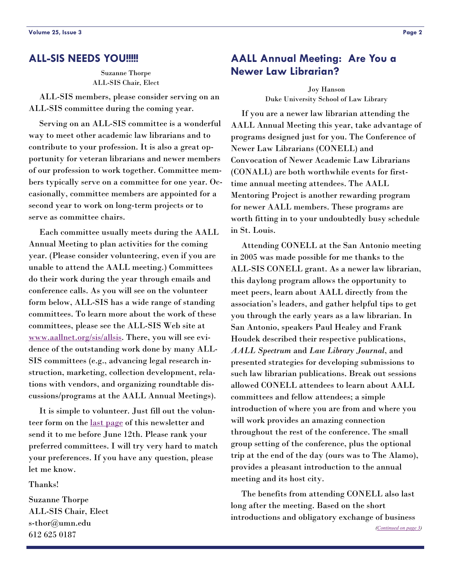#### <span id="page-1-0"></span>**ALL-SIS NEEDS YOU!!!!!**

Suzanne Thorpe ALL-SIS Chair, Elect

 ALL-SIS members, please consider serving on an ALL-SIS committee during the coming year.

 Serving on an ALL-SIS committee is a wonderful way to meet other academic law librarians and to contribute to your profession. It is also a great opportunity for veteran librarians and newer members of our profession to work together. Committee members typically serve on a committee for one year. Occasionally, committee members are appointed for a second year to work on long-term projects or to serve as committee chairs.

 Each committee usually meets during the AALL Annual Meeting to plan activities for the coming year. (Please consider volunteering, even if you are unable to attend the AALL meeting.) Committees do their work during the year through emails and conference calls. As you will see on the volunteer form below, ALL-SIS has a wide range of standing committees. To learn more about the work of these committees, please see the ALL-SIS Web site at [www.aallnet.org/sis/allsis](http://www.aallnet.org/sis/allsis). There, you will see evidence of the outstanding work done by many ALL-SIS committees (e.g., advancing legal research instruction, marketing, collection development, relations with vendors, and organizing roundtable discussions/programs at the AALL Annual Meetings).

 It is simple to volunteer. Just fill out the volunteer form on the [last page](#page-36-0) of this newsletter and send it to me before June 12th. Please rank your preferred committees. I will try very hard to match your preferences. If you have any question, please let me know.

Thanks!

Suzanne Thorpe ALL-SIS Chair, Elect s-thor@umn.edu 612 625 0187

# **AALL Annual Meeting: Are You a Newer Law Librarian?**

Joy Hanson Duke University School of Law Library

 If you are a newer law librarian attending the AALL Annual Meeting this year, take advantage of programs designed just for you. The Conference of Newer Law Librarians (CONELL) and Convocation of Newer Academic Law Librarians (CONALL) are both worthwhile events for firsttime annual meeting attendees. The AALL Mentoring Project is another rewarding program for newer AALL members. These programs are worth fitting in to your undoubtedly busy schedule in St. Louis.

 Attending CONELL at the San Antonio meeting in 2005 was made possible for me thanks to the ALL-SIS CONELL grant. As a newer law librarian, this daylong program allows the opportunity to meet peers, learn about AALL directly from the association's leaders, and gather helpful tips to get you through the early years as a law librarian. In San Antonio, speakers Paul Healey and Frank Houdek described their respective publications, *AALL Spectrum* and *Law Library Journal*, and presented strategies for developing submissions to such law librarian publications. Break out sessions allowed CONELL attendees to learn about AALL committees and fellow attendees; a simple introduction of where you are from and where you will work provides an amazing connection throughout the rest of the conference. The small group setting of the conference, plus the optional trip at the end of the day (ours was to The Alamo), provides a pleasant introduction to the annual meeting and its host city.

 The benefits from attending CONELL also last long after the meeting. Based on the short introductions and obligatory exchange of business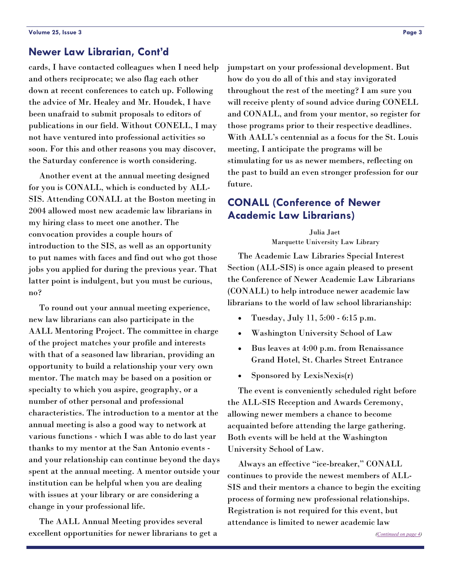# <span id="page-2-1"></span><span id="page-2-0"></span>**Newer Law Librarian, Cont'd**

cards, I have contacted colleagues when I need help and others reciprocate; we also flag each other down at recent conferences to catch up. Following the advice of Mr. Healey and Mr. Houdek, I have been unafraid to submit proposals to editors of publications in our field. Without CONELL, I may not have ventured into professional activities so soon. For this and other reasons you may discover, the Saturday conference is worth considering.

 Another event at the annual meeting designed for you is CONALL, which is conducted by ALL-SIS. Attending CONALL at the Boston meeting in 2004 allowed most new academic law librarians in my hiring class to meet one another. The convocation provides a couple hours of introduction to the SIS, as well as an opportunity to put names with faces and find out who got those jobs you applied for during the previous year. That latter point is indulgent, but you must be curious, no?

 To round out your annual meeting experience, new law librarians can also participate in the AALL Mentoring Project. The committee in charge of the project matches your profile and interests with that of a seasoned law librarian, providing an opportunity to build a relationship your very own mentor. The match may be based on a position or specialty to which you aspire, geography, or a number of other personal and professional characteristics. The introduction to a mentor at the annual meeting is also a good way to network at various functions - which I was able to do last year thanks to my mentor at the San Antonio events and your relationship can continue beyond the days spent at the annual meeting. A mentor outside your institution can be helpful when you are dealing with issues at your library or are considering a change in your professional life.

 The AALL Annual Meeting provides several excellent opportunities for newer librarians to get a jumpstart on your professional development. But how do you do all of this and stay invigorated throughout the rest of the meeting? I am sure you will receive plenty of sound advice during CONELL and CONALL, and from your mentor, so register for those programs prior to their respective deadlines. With AALL's centennial as a focus for the St. Louis meeting, I anticipate the programs will be stimulating for us as newer members, reflecting on the past to build an even stronger profession for our future.

# **CONALL (Conference of Newer Academic Law Librarians)**

Julia Jaet Marquette University Law Library

 The Academic Law Libraries Special Interest Section (ALL-SIS) is once again pleased to present the Conference of Newer Academic Law Librarians (CONALL) to help introduce newer academic law librarians to the world of law school librarianship:

- Tuesday, July 11, 5:00 6:15 p.m.
- Washington University School of Law
- Bus leaves at 4:00 p.m. from Renaissance Grand Hotel, St. Charles Street Entrance
- Sponsored by LexisNexis(r)

 The event is conveniently scheduled right before the ALL-SIS Reception and Awards Ceremony, allowing newer members a chance to become acquainted before attending the large gathering. Both events will be held at the Washington University School of Law.

 Always an effective "ice-breaker," CONALL continues to provide the newest members of ALL-SIS and their mentors a chance to begin the exciting process of forming new professional relationships. Registration is not required for this event, but attendance is limited to newer academic law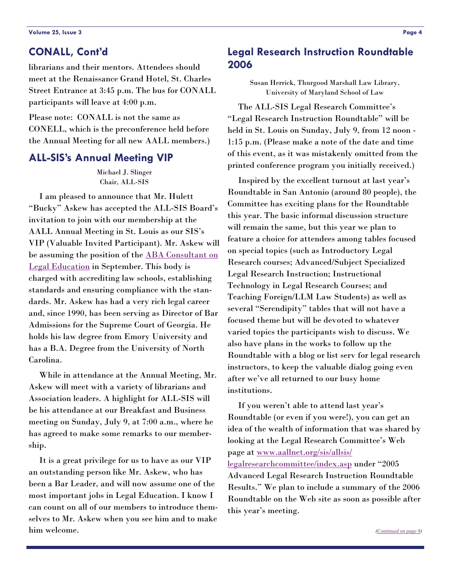# <span id="page-3-0"></span>**CONALL, Cont'd**

librarians and their mentors. Attendees should meet at the Renaissance Grand Hotel, St. Charles Street Entrance at 3:45 p.m. The bus for CONALL participants will leave at 4:00 p.m.

Please note: CONALL is not the same as CONELL, which is the preconference held before the Annual Meeting for all new AALL members.)

# **ALL-SIS's Annual Meeting VIP**

Michael J. Slinger Chair, ALL-SIS

 I am pleased to announce that Mr. Hulett "Bucky" Askew has accepted the ALL-SIS Board's invitation to join with our membership at the AALL Annual Meeting in St. Louis as our SIS's VIP (Valuable Invited Participant). Mr. Askew will be assuming the position of the **ABA Consultant on** [Legal Education](http://www.abanet.org/legaled/section/consultant/consultant.html) in September. This body is charged with accrediting law schools, establishing standards and ensuring compliance with the standards. Mr. Askew has had a very rich legal career and, since 1990, has been serving as Director of Bar Admissions for the Supreme Court of Georgia. He holds his law degree from Emory University and has a B.A. Degree from the University of North Carolina.

 While in attendance at the Annual Meeting, Mr. Askew will meet with a variety of librarians and Association leaders. A highlight for ALL-SIS will be his attendance at our Breakfast and Business meeting on Sunday, July 9, at 7:00 a.m., where he has agreed to make some remarks to our membership.

 It is a great privilege for us to have as our VIP an outstanding person like Mr. Askew, who has been a Bar Leader, and will now assume one of the most important jobs in Legal Education. I know I can count on all of our members to introduce themselves to Mr. Askew when you see him and to make him welcome.

# **Legal Research Instruction Roundtable 2006**

Susan Herrick, Thurgood Marshall Law Library, University of Maryland School of Law

 The ALL-SIS Legal Research Committee's "Legal Research Instruction Roundtable" will be held in St. Louis on Sunday, July 9, from 12 noon - 1:15 p.m. (Please make a note of the date and time of this event, as it was mistakenly omitted from the printed conference program you initially received.)

 Inspired by the excellent turnout at last year's Roundtable in San Antonio (around 80 people), the Committee has exciting plans for the Roundtable this year. The basic informal discussion structure will remain the same, but this year we plan to feature a choice for attendees among tables focused on special topics (such as Introductory Legal Research courses; Advanced/Subject Specialized Legal Research Instruction; Instructional Technology in Legal Research Courses; and Teaching Foreign/LLM Law Students) as well as several "Serendipity" tables that will not have a focused theme but will be devoted to whatever varied topics the participants wish to discuss. We also have plans in the works to follow up the Roundtable with a blog or list serv for legal research instructors, to keep the valuable dialog going even after we've all returned to our busy home institutions.

 If you weren't able to attend last year's Roundtable (or even if you were!), you can get an idea of the wealth of information that was shared by looking at the Legal Research Committee's Web page at [www.aallnet.org/sis/allsis/](http://www.aallnet.org/sis/allsis/legalresearchcommittee/index.asp) [legalresearchcommittee/index.asp](http://www.aallnet.org/sis/allsis/legalresearchcommittee/index.asp) under "2005 Advanced Legal Research Instruction Roundtable Results." We plan to include a summary of the 2006 Roundtable on the Web site as soon as possible after this year's meeting.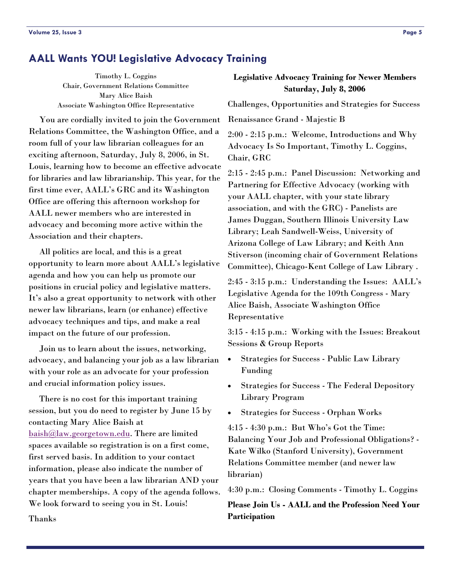# **AALL Wants YOU! Legislative Advocacy Training**

Timothy L. Coggins Chair, Government Relations Committee Mary Alice Baish Associate Washington Office Representative

 You are cordially invited to join the Government Relations Committee, the Washington Office, and a room full of your law librarian colleagues for an exciting afternoon, Saturday, July 8, 2006, in St. Louis, learning how to become an effective advocate for libraries and law librarianship. This year, for the first time ever, AALL's GRC and its Washington Office are offering this afternoon workshop for AALL newer members who are interested in advocacy and becoming more active within the Association and their chapters.

 All politics are local, and this is a great opportunity to learn more about AALL's legislative agenda and how you can help us promote our positions in crucial policy and legislative matters. It's also a great opportunity to network with other newer law librarians, learn (or enhance) effective advocacy techniques and tips, and make a real impact on the future of our profession.

 Join us to learn about the issues, networking, advocacy, and balancing your job as a law librarian with your role as an advocate for your profession and crucial information policy issues.

 There is no cost for this important training session, but you do need to register by June 15 by contacting Mary Alice Baish at [baish@law.georgetown.edu](mailto:baish@law.georgetown.edu). There are limited spaces available so registration is on a first come, first served basis. In addition to your contact information, please also indicate the number of years that you have been a law librarian AND your chapter memberships. A copy of the agenda follows. We look forward to seeing you in St. Louis!

## **Legislative Advocacy Training for Newer Members Saturday, July 8, 2006**

Challenges, Opportunities and Strategies for Success

Renaissance Grand - Majestic B

2:00 - 2:15 p.m.: Welcome, Introductions and Why Advocacy Is So Important, Timothy L. Coggins, Chair, GRC

2:15 - 2:45 p.m.: Panel Discussion: Networking and Partnering for Effective Advocacy (working with your AALL chapter, with your state library association, and with the GRC) - Panelists are James Duggan, Southern Illinois University Law Library; Leah Sandwell-Weiss, University of Arizona College of Law Library; and Keith Ann Stiverson (incoming chair of Government Relations Committee), Chicago-Kent College of Law Library .

2:45 - 3:15 p.m.: Understanding the Issues: AALL's Legislative Agenda for the 109th Congress - Mary Alice Baish, Associate Washington Office Representative

3:15 - 4:15 p.m.: Working with the Issues: Breakout Sessions & Group Reports

- Strategies for Success Public Law Library Funding
- Strategies for Success The Federal Depository Library Program
- Strategies for Success Orphan Works

4:15 - 4:30 p.m.: But Who's Got the Time: Balancing Your Job and Professional Obligations? - Kate Wilko (Stanford University), Government Relations Committee member (and newer law librarian)

4:30 p.m.: Closing Comments - Timothy L. Coggins

**Please Join Us - AALL and the Profession Need Your Participation** 

Thanks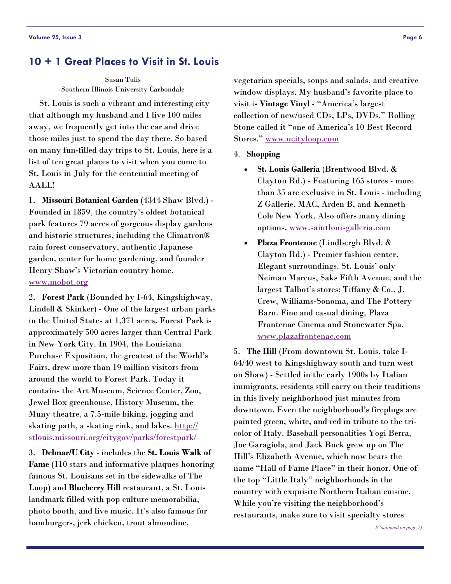# **10 + 1 Great Places to Visit in St. Louis**

Susan Tulis Southern Illinois University Carbondale

 St. Louis is such a vibrant and interesting city that although my husband and I live 100 miles away, we frequently get into the car and drive those miles just to spend the day there. So based on many fun-filled day trips to St. Louis, here is a list of ten great places to visit when you come to St. Louis in July for the centennial meeting of AALL!

1. **Missouri Botanical Garden** (4344 Shaw Blvd.) - Founded in 1859, the country's oldest botanical park features 79 acres of gorgeous display gardens and historic structures, including the Climatron® rain forest conservatory, authentic Japanese garden, center for home gardening, and founder Henry Shaw's Victorian country home. [www.mobot.org](http://www.mobot.org)

2. **Forest Park** (Bounded by I-64, Kingshighway, Lindell & Skinker) - One of the largest urban parks in the United States at 1,371 acres, Forest Park is approximately 500 acres larger than Central Park in New York City. In 1904, the Louisiana Purchase Exposition, the greatest of the World's Fairs, drew more than 19 million visitors from around the world to Forest Park. Today it contains the Art Museum, Science Center, Zoo, Jewel Box greenhouse, History Museum, the Muny theatre, a 7.5-mile biking, jogging and skating path, a skating rink, and lakes. [http://](http://stlouis.missouri.org/citygov/parks/forestpark/) [stlouis.missouri.org/citygov/parks/forestpark/](http://stlouis.missouri.org/citygov/parks/forestpark/)

3. **Delmar/U City** - includes the **St. Louis Walk of Fame** (110 stars and informative plaques honoring famous St. Louisans set in the sidewalks of The Loop) and **Blueberry Hill** restaurant, a St. Louis landmark filled with pop culture memorabilia, photo booth, and live music. It's also famous for hamburgers, jerk chicken, trout almondine,

vegetarian specials, soups and salads, and creative window displays. My husband's favorite place to visit is **Vintage Vinyl** - "America's largest collection of new/used CDs, LPs, DVDs." Rolling Stone called it "one of America's 10 Best Record Stores." [www.ucityloop.com](http://www.ucityloop.com)

#### 4. **Shopping**

- **St. Louis Galleria** (Brentwood Blvd. & Clayton Rd.) - Featuring 165 stores - more than 35 are exclusive in St. Louis - including Z Gallerie, MAC, Arden B, and Kenneth Cole New York. Also offers many dining options. [www.saintlouisgalleria.com](http://www.saintlouisgalleria.com)
- **Plaza Frontenac** (Lindbergh Blvd. & Clayton Rd.) - Premier fashion center. Elegant surroundings. St. Louis' only Neiman Marcus, Saks Fifth Avenue, and the largest Talbot's stores; Tiffany & Co., J. Crew, Williams-Sonoma, and The Pottery Barn. Fine and casual dining, Plaza Frontenac Cinema and Stonewater Spa. [www.plazafrontenac.com](http://www.plazafrontenac.com)

5. **The Hill** (From downtown St. Louis, take I-64/40 west to Kingshighway south and turn west on Shaw) - Settled in the early 1900s by Italian immigrants, residents still carry on their traditions in this lively neighborhood just minutes from downtown. Even the neighborhood's fireplugs are painted green, white, and red in tribute to the tricolor of Italy. Baseball personalities Yogi Berra, Joe Garagiola, and Jack Buck grew up on The Hill's Elizabeth Avenue, which now bears the name "Hall of Fame Place" in their honor. One of the top "Little Italy" neighborhoods in the country with exquisite Northern Italian cuisine. While you're visiting the neighborhood's restaurants, make sure to visit specialty stores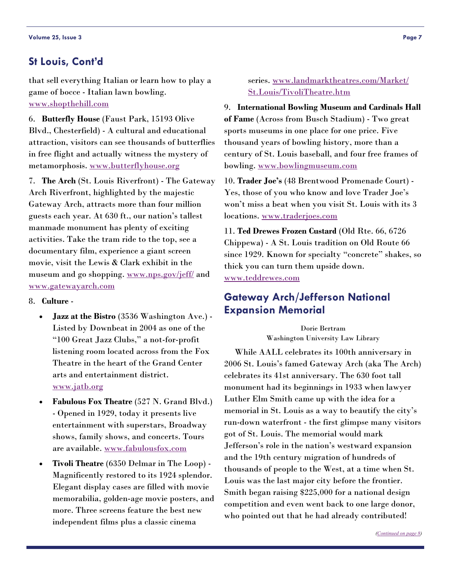# <span id="page-6-0"></span>**St Louis, Cont'd**

that sell everything Italian or learn how to play a game of bocce - Italian lawn bowling. [www.shopthehill.com](http://www.shopthehill.com)

6. **Butterfly House** (Faust Park, 15193 Olive Blvd., Chesterfield) - A cultural and educational attraction, visitors can see thousands of butterflies in free flight and actually witness the mystery of metamorphosis. [www.butterflyhouse.org](http://www.butterflyhouse.org)

7. **The Arch** (St. Louis Riverfront) - The Gateway Arch Riverfront, highlighted by the majestic Gateway Arch, attracts more than four million guests each year. At 630 ft., our nation's tallest manmade monument has plenty of exciting activities. Take the tram ride to the top, see a documentary film, experience a giant screen movie, visit the Lewis & Clark exhibit in the museum and go shopping. [www.nps.gov/jeff/](http://www.nps.gov/jeff/) and [www.gatewayarch.com](http://www.gatewayarch.com)

#### 8. **Culture** -

- **Jazz at the Bistro** (3536 Washington Ave.) Listed by Downbeat in 2004 as one of the "100 Great Jazz Clubs," a not-for-profit listening room located across from the Fox Theatre in the heart of the Grand Center arts and entertainment district. [www.jatb.org](http://www.jatb.org)
- **Fabulous Fox Theatre** (527 N. Grand Blvd.) - Opened in 1929, today it presents live entertainment with superstars, Broadway shows, family shows, and concerts. Tours are available. [www.fabulousfox.com](http://www.fabulousfox.com)
- **Tivoli Theatre** (6350 Delmar in The Loop) Magnificently restored to its 1924 splendor. Elegant display cases are filled with movie memorabilia, golden-age movie posters, and more. Three screens feature the best new independent films plus a classic cinema

#### series. [www.landmarktheatres.com/Market/](http://www.landmarktheatres.com/Market/St.Louis/TivoliTheatre.htm) [St.Louis/TivoliTheatre.htm](http://www.landmarktheatres.com/Market/St.Louis/TivoliTheatre.htm)

9. **International Bowling Museum and Cardinals Hall of Fame** (Across from Busch Stadium) - Two great sports museums in one place for one price. Five thousand years of bowling history, more than a century of St. Louis baseball, and four free frames of bowling. [www.bowlingmuseum.com](http://www.bowlingmuseum.com)

10. **Trader Joe's** (48 Brentwood Promenade Court) - Yes, those of you who know and love Trader Joe's won't miss a beat when you visit St. Louis with its 3 locations. [www.traderjoes.com](http://www.traderjoes.com)

11. **Ted Drewes Frozen Custard** (Old Rte. 66, 6726 Chippewa) - A St. Louis tradition on Old Route 66 since 1929. Known for specialty "concrete" shakes, so thick you can turn them upside down. [www.teddrewes.com](http://www.teddrewes.com)

# **Gateway Arch/Jefferson National Expansion Memorial**

Dorie Bertram Washington University Law Library

 While AALL celebrates its 100th anniversary in 2006 St. Louis's famed Gateway Arch (aka The Arch) celebrates its 41st anniversary. The 630 foot tall monument had its beginnings in 1933 when lawyer Luther Elm Smith came up with the idea for a memorial in St. Louis as a way to beautify the city's run-down waterfront - the first glimpse many visitors got of St. Louis. The memorial would mark Jefferson's role in the nation's westward expansion and the 19th century migration of hundreds of thousands of people to the West, at a time when St. Louis was the last major city before the frontier. Smith began raising \$225,000 for a national design competition and even went back to one large donor, who pointed out that he had already contributed!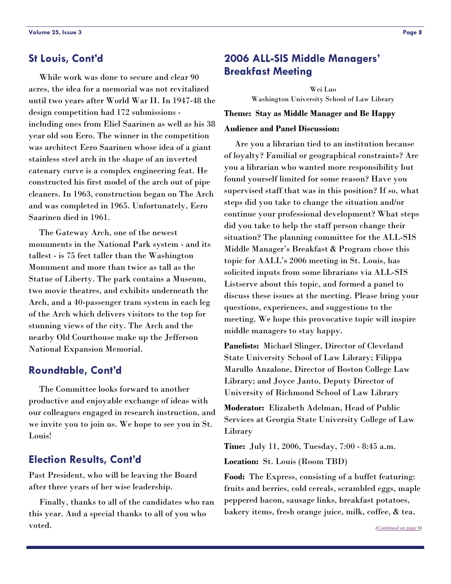# <span id="page-7-1"></span><span id="page-7-0"></span>**St Louis, Cont'd**

 While work was done to secure and clear 90 acres, the idea for a memorial was not revitalized until two years after World War II. In 1947-48 the design competition had 172 submissions including ones from Eliel Saarinen as well as his 38 year old son Eero. The winner in the competition was architect Eero Saarinen whose idea of a giant stainless steel arch in the shape of an inverted catenary curve is a complex engineering feat. He constructed his first model of the arch out of pipe cleaners. In 1963, construction began on The Arch and was completed in 1965. Unfortunately, Eero Saarinen died in 1961.

 The Gateway Arch, one of the newest monuments in the National Park system - and its tallest - is 75 feet taller than the Washington Monument and more than twice as tall as the Statue of Liberty. The park contains a Museum, two movie theatres, and exhibits underneath the Arch, and a 40-passenger tram system in each leg of the Arch which delivers visitors to the top for stunning views of the city. The Arch and the nearby Old Courthouse make up the Jefferson National Expansion Memorial.

# **Roundtable, Cont'd**

 The Committee looks forward to another productive and enjoyable exchange of ideas with our colleagues engaged in research instruction, and we invite you to join us. We hope to see you in St. Louis!

# **Election Results, Cont'd**

Past President, who will be leaving the Board after three years of her wise leadership.

 Finally, thanks to all of the candidates who ran this year. And a special thanks to all of you who voted.

# **2006 ALL-SIS Middle Managers' Breakfast Meeting**

Wei Luo Washington University School of Law Library

#### **Theme: Stay as Middle Manager and Be Happy**

#### **Audience and Panel Discussion:**

 Are you a librarian tied to an institution because of loyalty? Familial or geographical constraints? Are you a librarian who wanted more responsibility but found yourself limited for some reason? Have you supervised staff that was in this position? If so, what steps did you take to change the situation and/or continue your professional development? What steps did you take to help the staff person change their situation? The planning committee for the ALL-SIS Middle Manager's Breakfast & Program chose this topic for AALL's 2006 meeting in St. Louis, has solicited inputs from some librarians via ALL-SIS Listserve about this topic, and formed a panel to discuss these issues at the meeting. Please bring your questions, experiences, and suggestions to the meeting. We hope this provocative topic will inspire middle managers to stay happy.

**Panelists:** Michael Slinger, Director of Cleveland State University School of Law Library; Filippa Marullo Anzalone, Director of Boston College Law Library; and Joyce Janto, Deputy Director of University of Richmond School of Law Library

**Moderator:** Elizabeth Adelman, Head of Public Services at Georgia State University College of Law Library

**Time:** July 11, 2006, Tuesday, 7:00 - 8:45 a.m.

**Location:** St. Louis (Room TBD)

**Food:** The Express, consisting of a buffet featuring: fruits and berries, cold cereals, scrambled eggs, maple peppered bacon, sausage links, breakfast potatoes, bakery items, fresh orange juice, milk, coffee, & tea.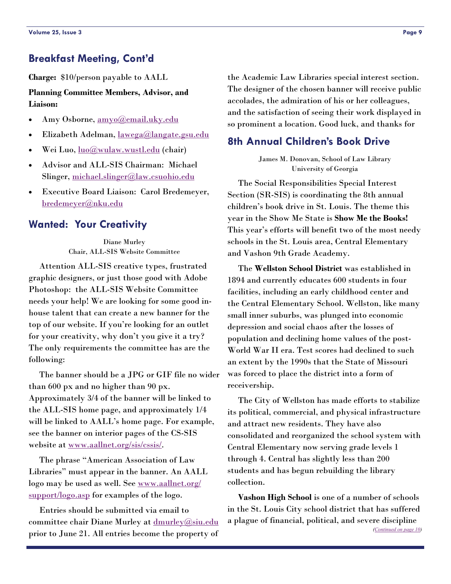# <span id="page-8-0"></span>**Breakfast Meeting, Cont'd**

**Charge:** \$10/person payable to AALL

**Planning Committee Members, Advisor, and Liaison:** 

- Amy Osborne, [amyo@email.uky.edu](mailto:amyo@email.uky.edu)
- Elizabeth Adelman, [lawega@langate.gsu.edu](mailto:lawega@langate.gsu.edu)
- Wei Luo, [luo@wulaw.wustl.edu](mailto:luo@wulaw.wustl.edu) (chair)
- Advisor and ALL-SIS Chairman: Michael Slinger, [michael.slinger@law.csuohio.edu](mailto:michael.slinger@law.csuohio.edu)
- Executive Board Liaison: Carol Bredemeyer, [bredemeyer@nku.edu](mailto:bredemeyer@nku.edu)

# **Wanted: Your Creativity**

Diane Murley Chair, ALL-SIS Website Committee

 Attention ALL-SIS creative types, frustrated graphic designers, or just those good with Adobe Photoshop: the ALL-SIS Website Committee needs your help! We are looking for some good inhouse talent that can create a new banner for the top of our website. If you're looking for an outlet for your creativity, why don't you give it a try? The only requirements the committee has are the following:

 The banner should be a JPG or GIF file no wider than 600 px and no higher than 90 px. Approximately 3/4 of the banner will be linked to the ALL-SIS home page, and approximately 1/4 will be linked to AALL's home page. For example, see the banner on interior pages of the CS-SIS website at [www.aallnet.org/sis/cssis/](http://www.aallnet.org/sis/cssis/).

 The phrase "American Association of Law Libraries" must appear in the banner. An AALL logo may be used as well. See [www.aallnet.org/](http://www.aallnet.org/support/logo.asp) [support/logo.asp](http://www.aallnet.org/support/logo.asp) for examples of the logo.

 Entries should be submitted via email to committee chair Diane Murley at [dmurley@siu.edu](mailto:dmurley@siu.edu) prior to June 21. All entries become the property of the Academic Law Libraries special interest section. The designer of the chosen banner will receive public accolades, the admiration of his or her colleagues, and the satisfaction of seeing their work displayed in so prominent a location. Good luck, and thanks for

#### **8th Annual Children's Book Drive**

James M. Donovan, School of Law Library University of Georgia

 The Social Responsibilities Special Interest Section (SR-SIS) is coordinating the 8th annual children's book drive in St. Louis. The theme this year in the Show Me State is **Show Me the Books!** This year's efforts will benefit two of the most needy schools in the St. Louis area, Central Elementary and Vashon 9th Grade Academy.

 The **Wellston School District** was established in 1894 and currently educates 600 students in four facilities, including an early childhood center and the Central Elementary School. Wellston, like many small inner suburbs, was plunged into economic depression and social chaos after the losses of population and declining home values of the post-World War II era. Test scores had declined to such an extent by the 1990s that the State of Missouri was forced to place the district into a form of receivership.

 The City of Wellston has made efforts to stabilize its political, commercial, and physical infrastructure and attract new residents. They have also consolidated and reorganized the school system with Central Elementary now serving grade levels 1 through 4. Central has slightly less than 200 students and has begun rebuilding the library collection.

**Vashon High School** is one of a number of schools in the St. Louis City school district that has suffered a plague of financial, political, and severe discipline *[\(Continued on page 10\)](#page-9-0)*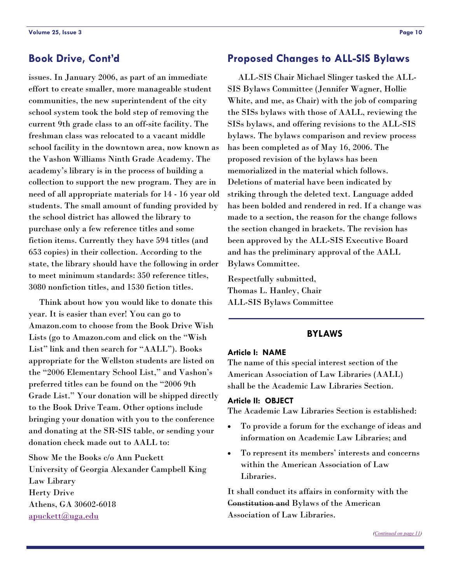# <span id="page-9-0"></span>**Book Drive, Cont'd**

issues. In January 2006, as part of an immediate effort to create smaller, more manageable student communities, the new superintendent of the city school system took the bold step of removing the current 9th grade class to an off-site facility. The freshman class was relocated to a vacant middle school facility in the downtown area, now known as the Vashon Williams Ninth Grade Academy. The academy's library is in the process of building a collection to support the new program. They are in need of all appropriate materials for 14 - 16 year old students. The small amount of funding provided by the school district has allowed the library to purchase only a few reference titles and some fiction items. Currently they have 594 titles (and 653 copies) in their collection. According to the state, the library should have the following in order to meet minimum standards: 350 reference titles, 3080 nonfiction titles, and 1530 fiction titles.

 Think about how you would like to donate this year. It is easier than ever! You can go to Amazon.com to choose from the Book Drive Wish Lists (go to Amazon.com and click on the "Wish List" link and then search for "AALL"). Books appropriate for the Wellston students are listed on the "2006 Elementary School List," and Vashon's preferred titles can be found on the "2006 9th Grade List." Your donation will be shipped directly to the Book Drive Team. Other options include bringing your donation with you to the conference and donating at the SR-SIS table, or sending your donation check made out to AALL to:

Show Me the Books c/o Ann Puckett University of Georgia Alexander Campbell King Law Library Herty Drive Athens, GA 30602-6018 [apuckett@uga.edu](mailto:apuckett@uga.edu)

# **Proposed Changes to ALL-SIS Bylaws**

 ALL-SIS Chair Michael Slinger tasked the ALL-SIS Bylaws Committee (Jennifer Wagner, Hollie White, and me, as Chair) with the job of comparing the SISs bylaws with those of AALL, reviewing the SISs bylaws, and offering revisions to the ALL-SIS bylaws. The bylaws comparison and review process has been completed as of May 16, 2006. The proposed revision of the bylaws has been memorialized in the material which follows. Deletions of material have been indicated by striking through the deleted text. Language added has been bolded and rendered in red. If a change was made to a section, the reason for the change follows the section changed in brackets. The revision has been approved by the ALL-SIS Executive Board and has the preliminary approval of the AALL Bylaws Committee.

Respectfully submitted, Thomas L. Hanley, Chair ALL-SIS Bylaws Committee

#### **BYLAWS**

#### **Article I: NAME**

The name of this special interest section of the American Association of Law Libraries (AALL) shall be the Academic Law Libraries Section.

#### **Article II: OBJECT**

The Academic Law Libraries Section is established:

- To provide a forum for the exchange of ideas and information on Academic Law Libraries; and
- To represent its members' interests and concerns within the American Association of Law Libraries.

It shall conduct its affairs in conformity with the Constitution and Bylaws of the American Association of Law Libraries.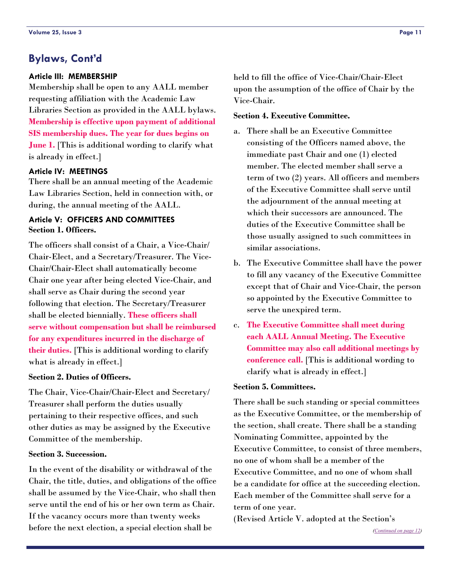# <span id="page-10-0"></span>**Bylaws, Cont'd**

#### **Article III: MEMBERSHIP**

Membership shall be open to any AALL member requesting affiliation with the Academic Law Libraries Section as provided in the AALL bylaws. **Membership is effective upon payment of additional SIS membership dues. The year for dues begins on June 1.** [This is additional wording to clarify what is already in effect.]

#### **Article IV: MEETINGS**

There shall be an annual meeting of the Academic Law Libraries Section, held in connection with, or during, the annual meeting of the AALL.

#### **Article V: OFFICERS AND COMMITTEES Section 1. Officers.**

The officers shall consist of a Chair, a Vice-Chair/ Chair-Elect, and a Secretary/Treasurer. The Vice-Chair/Chair-Elect shall automatically become Chair one year after being elected Vice-Chair, and shall serve as Chair during the second year following that election. The Secretary/Treasurer shall be elected biennially. **These officers shall serve without compensation but shall be reimbursed for any expenditures incurred in the discharge of their duties.** [This is additional wording to clarify what is already in effect.]

#### **Section 2. Duties of Officers.**

The Chair, Vice-Chair/Chair-Elect and Secretary/ Treasurer shall perform the duties usually pertaining to their respective offices, and such other duties as may be assigned by the Executive Committee of the membership.

#### **Section 3. Succession.**

In the event of the disability or withdrawal of the Chair, the title, duties, and obligations of the office shall be assumed by the Vice-Chair, who shall then serve until the end of his or her own term as Chair. If the vacancy occurs more than twenty weeks before the next election, a special election shall be

held to fill the office of Vice-Chair/Chair-Elect upon the assumption of the office of Chair by the Vice-Chair.

#### **Section 4. Executive Committee.**

- a. There shall be an Executive Committee consisting of the Officers named above, the immediate past Chair and one (1) elected member. The elected member shall serve a term of two (2) years. All officers and members of the Executive Committee shall serve until the adjournment of the annual meeting at which their successors are announced. The duties of the Executive Committee shall be those usually assigned to such committees in similar associations.
- b. The Executive Committee shall have the power to fill any vacancy of the Executive Committee except that of Chair and Vice-Chair, the person so appointed by the Executive Committee to serve the unexpired term.
- c. **The Executive Committee shall meet during each AALL Annual Meeting. The Executive Committee may also call additional meetings by conference call.** [This is additional wording to clarify what is already in effect.]

#### **Section 5. Committees.**

There shall be such standing or special committees as the Executive Committee, or the membership of the section, shall create. There shall be a standing Nominating Committee, appointed by the Executive Committee, to consist of three members, no one of whom shall be a member of the Executive Committee, and no one of whom shall be a candidate for office at the succeeding election. Each member of the Committee shall serve for a term of one year.

(Revised Article V. adopted at the Section's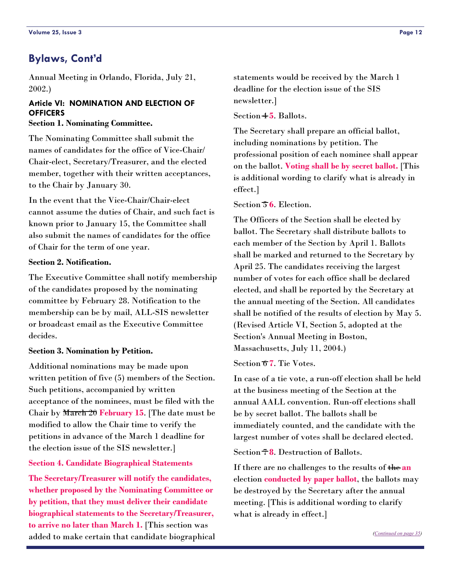# <span id="page-11-0"></span>**Bylaws, Cont'd**

Annual Meeting in Orlando, Florida, July 21, 2002.)

#### **Article VI: NOMINATION AND ELECTION OF OFFICERS**

**Section 1. Nominating Committee.** 

The Nominating Committee shall submit the names of candidates for the office of Vice-Chair/ Chair-elect, Secretary/Treasurer, and the elected member, together with their written acceptances, to the Chair by January 30.

In the event that the Vice-Chair/Chair-elect cannot assume the duties of Chair, and such fact is known prior to January 15, the Committee shall also submit the names of candidates for the office of Chair for the term of one year.

#### **Section 2. Notification.**

The Executive Committee shall notify membership of the candidates proposed by the nominating committee by February 28. Notification to the membership can be by mail, ALL-SIS newsletter or broadcast email as the Executive Committee decides.

#### **Section 3. Nomination by Petition.**

Additional nominations may be made upon written petition of five (5) members of the Section. Such petitions, accompanied by written acceptance of the nominees, must be filed with the Chair by March 20 **February 15**. [The date must be modified to allow the Chair time to verify the petitions in advance of the March 1 deadline for the election issue of the SIS newsletter.]

#### **Section 4. Candidate Biographical Statements**

**The Secretary/Treasurer will notify the candidates, whether proposed by the Nominating Committee or by petition, that they must deliver their candidate biographical statements to the Secretary/Treasurer, to arrive no later than March 1.** [This section was added to make certain that candidate biographical statements would be received by the March 1 deadline for the election issue of the SIS newsletter.]

Section 4 **5**. Ballots.

The Secretary shall prepare an official ballot, including nominations by petition. The professional position of each nominee shall appear on the ballot. **Voting shall be by secret ballot.** [This is additional wording to clarify what is already in effect.]

#### Section 5 **6**. Election.

The Officers of the Section shall be elected by ballot. The Secretary shall distribute ballots to each member of the Section by April 1. Ballots shall be marked and returned to the Secretary by April 25. The candidates receiving the largest number of votes for each office shall be declared elected, and shall be reported by the Secretary at the annual meeting of the Section. All candidates shall be notified of the results of election by May 5. (Revised Article VI, Section 5, adopted at the Section's Annual Meeting in Boston, Massachusetts, July 11, 2004.)

Section 6 **7**. Tie Votes.

In case of a tie vote, a run-off election shall be held at the business meeting of the Section at the annual AALL convention. Run-off elections shall be by secret ballot. The ballots shall be immediately counted, and the candidate with the largest number of votes shall be declared elected.

Section 7 **8**. Destruction of Ballots.

If there are no challenges to the results of the **an** election **conducted by paper ballot**, the ballots may be destroyed by the Secretary after the annual meeting. [This is additional wording to clarify what is already in effect.]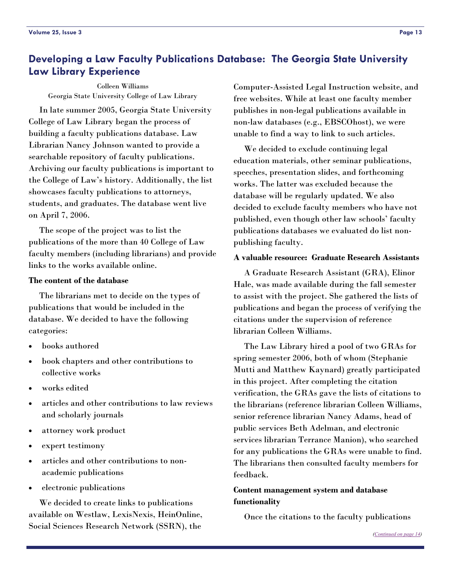# <span id="page-12-0"></span>**Developing a Law Faculty Publications Database: The Georgia State University Law Library Experience**

Colleen Williams Georgia State University College of Law Library

 In late summer 2005, Georgia State University College of Law Library began the process of building a faculty publications database. Law Librarian Nancy Johnson wanted to provide a searchable repository of faculty publications. Archiving our faculty publications is important to the College of Law's history. Additionally, the list showcases faculty publications to attorneys, students, and graduates. The database went live on April 7, 2006.

 The scope of the project was to list the publications of the more than 40 College of Law faculty members (including librarians) and provide links to the works available online.

#### **The content of the database**

 The librarians met to decide on the types of publications that would be included in the database. We decided to have the following categories:

- books authored
- book chapters and other contributions to collective works
- works edited
- articles and other contributions to law reviews and scholarly journals
- attorney work product
- expert testimony
- articles and other contributions to nonacademic publications
- electronic publications

 We decided to create links to publications available on Westlaw, LexisNexis, HeinOnline, Social Sciences Research Network (SSRN), the

Computer-Assisted Legal Instruction website, and free websites. While at least one faculty member publishes in non-legal publications available in non-law databases (e.g., EBSCOhost), we were unable to find a way to link to such articles.

 We decided to exclude continuing legal education materials, other seminar publications, speeches, presentation slides, and forthcoming works. The latter was excluded because the database will be regularly updated. We also decided to exclude faculty members who have not published, even though other law schools' faculty publications databases we evaluated do list nonpublishing faculty.

#### **A valuable resource: Graduate Research Assistants**

 A Graduate Research Assistant (GRA), Elinor Hale, was made available during the fall semester to assist with the project. She gathered the lists of publications and began the process of verifying the citations under the supervision of reference librarian Colleen Williams.

 The Law Library hired a pool of two GRAs for spring semester 2006, both of whom (Stephanie Mutti and Matthew Kaynard) greatly participated in this project. After completing the citation verification, the GRAs gave the lists of citations to the librarians (reference librarian Colleen Williams, senior reference librarian Nancy Adams, head of public services Beth Adelman, and electronic services librarian Terrance Manion), who searched for any publications the GRAs were unable to find. The librarians then consulted faculty members for feedback.

#### **Content management system and database functionality**

Once the citations to the faculty publications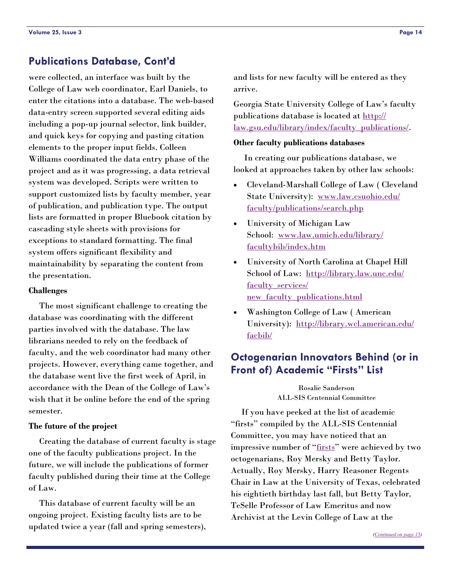# <span id="page-13-0"></span>**Publications Database, Cont'd**

were collected, an interface was built by the College of Law web coordinator, Earl Daniels, to enter the citations into a database. The web-based data-entry screen supported several editing aids including a pop-up journal selector, link builder, and quick keys for copying and pasting citation elements to the proper input fields. Colleen Williams coordinated the data entry phase of the project and as it was progressing, a data retrieval system was developed. Scripts were written to support customized lists by faculty member, year of publication, and publication type. The output lists are formatted in proper Bluebook citation by cascading style sheets with provisions for exceptions to standard formatting. The final system offers significant flexibility and maintainability by separating the content from the presentation.

#### **Challenges**

 The most significant challenge to creating the database was coordinating with the different parties involved with the database. The law librarians needed to rely on the feedback of faculty, and the web coordinator had many other projects. However, everything came together, and the database went live the first week of April, in accordance with the Dean of the College of Law's wish that it be online before the end of the spring semester.

#### **The future of the project**

 Creating the database of current faculty is stage one of the faculty publications project. In the future, we will include the publications of former faculty published during their time at the College of Law.

 This database of current faculty will be an ongoing project. Existing faculty lists are to be updated twice a year (fall and spring semesters), and lists for new faculty will be entered as they arrive.

Georgia State University College of Law's faculty publications database is located at [http://](http://law.gsu.edu/library/index/faculty_publications/) [law.gsu.edu/library/index/faculty\\_publications/](http://law.gsu.edu/library/index/faculty_publications/).

#### **Other faculty publications databases**

 In creating our publications database, we looked at approaches taken by other law schools:

- Cleveland-Marshall College of Law ( Cleveland State University): [www.law.csuohio.edu/](http://www.law.csuohio.edu/faculty/publications/search.php) [faculty/publications/search.php](http://www.law.csuohio.edu/faculty/publications/search.php)
- University of Michigan Law School: [www.law.umich.edu/library/](http://www.law.umich.edu/library/facultybib/index.htm) [facultybib/index.htm](http://www.law.umich.edu/library/facultybib/index.htm)
- University of North Carolina at Chapel Hill School of Law: [http://library.law.unc.edu/](http://library.law.unc.edu/faculty_services/new_faculty_publications.html) [faculty\\_services/](http://library.law.unc.edu/faculty_services/new_faculty_publications.html) [new\\_faculty\\_publications.html](http://library.law.unc.edu/faculty_services/new_faculty_publications.html)
- Washington College of Law ( American University): [http://library.wcl.american.edu/](http://library.wcl.american.edu/facbib/) [facbib/](http://library.wcl.american.edu/facbib/)

# **Octogenarian Innovators Behind (or in Front of) Academic "Firsts" List**

Rosalie Sanderson ALL-SIS Centennial Committee

 If you have peeked at the list of academic "firsts" compiled by the ALL-SIS Centennial Committee, you may have noticed that an impressive number of "[firsts](http://www.aallnet.org/sis/allsis/centennial/firsts.asp)" were achieved by two octogenarians, Roy Mersky and Betty Taylor. Actually, Roy Mersky, Harry Reasoner Regents Chair in Law at the University of Texas, celebrated his eightieth birthday last fall, but Betty Taylor, TeSelle Professor of Law Emeritus and now Archivist at the Levin College of Law at the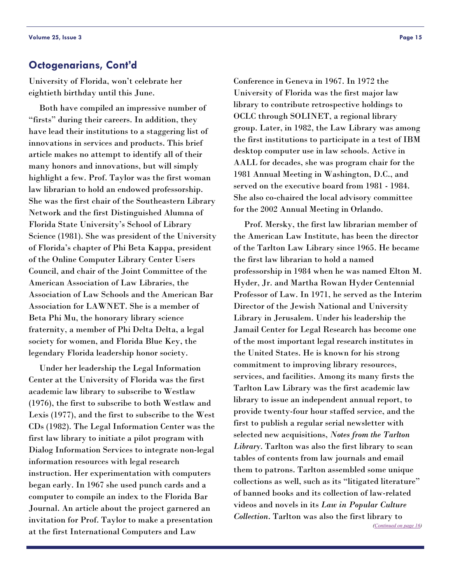<span id="page-14-0"></span>University of Florida, won't celebrate her eightieth birthday until this June.

 Both have compiled an impressive number of "firsts" during their careers. In addition, they have lead their institutions to a staggering list of innovations in services and products. This brief article makes no attempt to identify all of their many honors and innovations, but will simply highlight a few. Prof. Taylor was the first woman law librarian to hold an endowed professorship. She was the first chair of the Southeastern Library Network and the first Distinguished Alumna of Florida State University's School of Library Science (1981). She was president of the University of Florida's chapter of Phi Beta Kappa, president of the Online Computer Library Center Users Council, and chair of the Joint Committee of the American Association of Law Libraries, the Association of Law Schools and the American Bar Association for LAWNET. She is a member of Beta Phi Mu, the honorary library science fraternity, a member of Phi Delta Delta, a legal society for women, and Florida Blue Key, the legendary Florida leadership honor society.

 Under her leadership the Legal Information Center at the University of Florida was the first academic law library to subscribe to Westlaw (1976), the first to subscribe to both Westlaw and Lexis (1977), and the first to subscribe to the West CDs (1982). The Legal Information Center was the first law library to initiate a pilot program with Dialog Information Services to integrate non-legal information resources with legal research instruction. Her experimentation with computers began early. In 1967 she used punch cards and a computer to compile an index to the Florida Bar Journal. An article about the project garnered an invitation for Prof. Taylor to make a presentation at the first International Computers and Law

Conference in Geneva in 1967. In 1972 the University of Florida was the first major law library to contribute retrospective holdings to OCLC through SOLINET, a regional library group. Later, in 1982, the Law Library was among the first institutions to participate in a test of IBM desktop computer use in law schools. Active in AALL for decades, she was program chair for the 1981 Annual Meeting in Washington, D.C., and served on the executive board from 1981 - 1984. She also co-chaired the local advisory committee for the 2002 Annual Meeting in Orlando.

 Prof. Mersky, the first law librarian member of the American Law Institute, has been the director of the Tarlton Law Library since 1965. He became the first law librarian to hold a named professorship in 1984 when he was named Elton M. Hyder, Jr. and Martha Rowan Hyder Centennial Professor of Law. In 1971, he served as the Interim Director of the Jewish National and University Library in Jerusalem. Under his leadership the Jamail Center for Legal Research has become one of the most important legal research institutes in the United States. He is known for his strong commitment to improving library resources, services, and facilities. Among its many firsts the Tarlton Law Library was the first academic law library to issue an independent annual report, to provide twenty-four hour staffed service, and the first to publish a regular serial newsletter with selected new acquisitions, *Notes from the Tarlton Library*. Tarlton was also the first library to scan tables of contents from law journals and email them to patrons. Tarlton assembled some unique collections as well, such as its "litigated literature" of banned books and its collection of law-related videos and novels in its *Law in Popular Culture Collection*. Tarlton was also the first library to

*([Continued on page 16\)](#page-15-0)*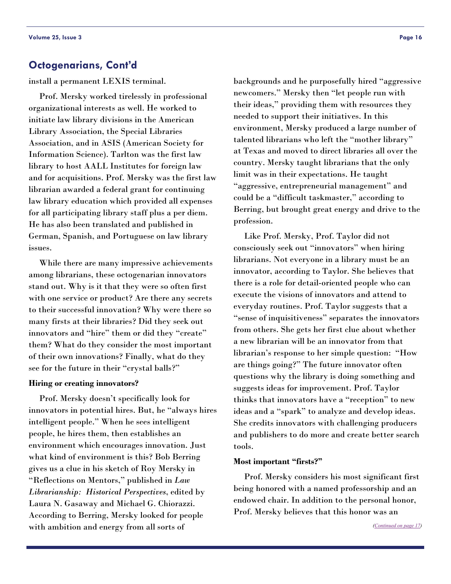<span id="page-15-0"></span>install a permanent LEXIS terminal.

 Prof. Mersky worked tirelessly in professional organizational interests as well. He worked to initiate law library divisions in the American Library Association, the Special Libraries Association, and in ASIS (American Society for Information Science). Tarlton was the first law library to host AALL Institutes for foreign law and for acquisitions. Prof. Mersky was the first law librarian awarded a federal grant for continuing law library education which provided all expenses for all participating library staff plus a per diem. He has also been translated and published in German, Spanish, and Portuguese on law library issues.

 While there are many impressive achievements among librarians, these octogenarian innovators stand out. Why is it that they were so often first with one service or product? Are there any secrets to their successful innovation? Why were there so many firsts at their libraries? Did they seek out innovators and "hire" them or did they "create" them? What do they consider the most important of their own innovations? Finally, what do they see for the future in their "crystal balls?"

#### **Hiring or creating innovators?**

 Prof. Mersky doesn't specifically look for innovators in potential hires. But, he "always hires intelligent people." When he sees intelligent people, he hires them, then establishes an environment which encourages innovation. Just what kind of environment is this? Bob Berring gives us a clue in his sketch of Roy Mersky in "Reflections on Mentors," published in *Law Librarianship: Historical Perspectives*, edited by Laura N. Gasaway and Michael G. Chiorazzi. According to Berring, Mersky looked for people with ambition and energy from all sorts of

backgrounds and he purposefully hired "aggressive newcomers." Mersky then "let people run with their ideas," providing them with resources they needed to support their initiatives. In this environment, Mersky produced a large number of talented librarians who left the "mother library" at Texas and moved to direct libraries all over the country. Mersky taught librarians that the only limit was in their expectations. He taught "aggressive, entrepreneurial management" and could be a "difficult taskmaster," according to Berring, but brought great energy and drive to the profession.

 Like Prof. Mersky, Prof. Taylor did not consciously seek out "innovators" when hiring librarians. Not everyone in a library must be an innovator, according to Taylor. She believes that there is a role for detail-oriented people who can execute the visions of innovators and attend to everyday routines. Prof. Taylor suggests that a "sense of inquisitiveness" separates the innovators from others. She gets her first clue about whether a new librarian will be an innovator from that librarian's response to her simple question: "How are things going?" The future innovator often questions why the library is doing something and suggests ideas for improvement. Prof. Taylor thinks that innovators have a "reception" to new ideas and a "spark" to analyze and develop ideas. She credits innovators with challenging producers and publishers to do more and create better search tools.

#### **Most important "firsts?"**

 Prof. Mersky considers his most significant first being honored with a named professorship and an endowed chair. In addition to the personal honor, Prof. Mersky believes that this honor was an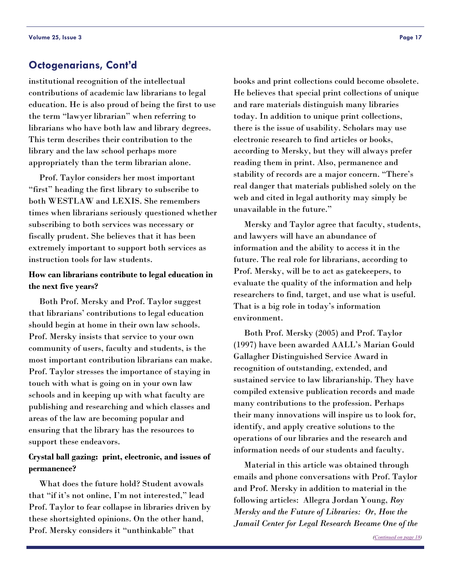<span id="page-16-0"></span>institutional recognition of the intellectual contributions of academic law librarians to legal education. He is also proud of being the first to use the term "lawyer librarian" when referring to librarians who have both law and library degrees. This term describes their contribution to the library and the law school perhaps more appropriately than the term librarian alone.

 Prof. Taylor considers her most important "first" heading the first library to subscribe to both WESTLAW and LEXIS. She remembers times when librarians seriously questioned whether subscribing to both services was necessary or fiscally prudent. She believes that it has been extremely important to support both services as instruction tools for law students.

#### **How can librarians contribute to legal education in the next five years?**

 Both Prof. Mersky and Prof. Taylor suggest that librarians' contributions to legal education should begin at home in their own law schools. Prof. Mersky insists that service to your own community of users, faculty and students, is the most important contribution librarians can make. Prof. Taylor stresses the importance of staying in touch with what is going on in your own law schools and in keeping up with what faculty are publishing and researching and which classes and areas of the law are becoming popular and ensuring that the library has the resources to support these endeavors.

#### **Crystal ball gazing: print, electronic, and issues of permanence?**

 What does the future hold? Student avowals that "if it's not online, I'm not interested," lead Prof. Taylor to fear collapse in libraries driven by these shortsighted opinions. On the other hand, Prof. Mersky considers it "unthinkable" that

books and print collections could become obsolete. He believes that special print collections of unique and rare materials distinguish many libraries today. In addition to unique print collections, there is the issue of usability. Scholars may use electronic research to find articles or books, according to Mersky, but they will always prefer reading them in print. Also, permanence and stability of records are a major concern. "There's real danger that materials published solely on the web and cited in legal authority may simply be unavailable in the future."

 Mersky and Taylor agree that faculty, students, and lawyers will have an abundance of information and the ability to access it in the future. The real role for librarians, according to Prof. Mersky, will be to act as gatekeepers, to evaluate the quality of the information and help researchers to find, target, and use what is useful. That is a big role in today's information environment.

 Both Prof. Mersky (2005) and Prof. Taylor (1997) have been awarded AALL's Marian Gould Gallagher Distinguished Service Award in recognition of outstanding, extended, and sustained service to law librarianship. They have compiled extensive publication records and made many contributions to the profession. Perhaps their many innovations will inspire us to look for, identify, and apply creative solutions to the operations of our libraries and the research and information needs of our students and faculty.

 Material in this article was obtained through emails and phone conversations with Prof. Taylor and Prof. Mersky in addition to material in the following articles: Allegra Jordan Young, *Roy Mersky and the Future of Libraries: Or, How the Jamail Center for Legal Research Became One of the*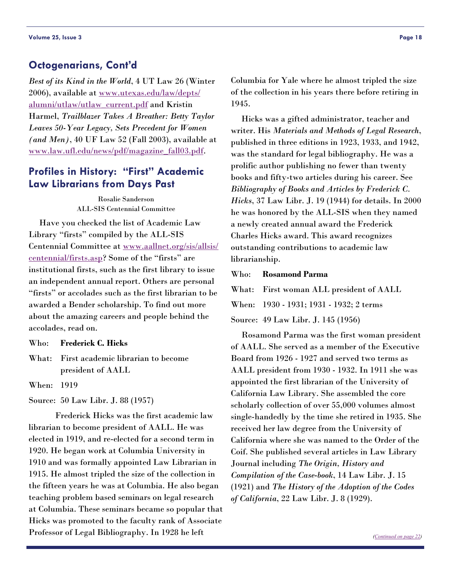<span id="page-17-0"></span>*Best of its Kind in the World*, 4 UT Law 26 (Winter 2006), available at [www.utexas.edu/law/depts/](http://www.utexas.edu/law/depts/alumni/utlaw/utlaw_current.pdf) [alumni/utlaw/utlaw\\_current.pdf](http://www.utexas.edu/law/depts/alumni/utlaw/utlaw_current.pdf) and Kristin Harmel, *Trailblazer Takes A Breather: Betty Taylor Leaves 50-Year Legacy, Sets Precedent for Women (and Men)*, 40 UF Law 52 (Fall 2003), available at [www.law.ufl.edu/news/pdf/magazine\\_fall03.pdf](http://www.law.ufl.edu/news/pdf/magazine_fall03.pdf).

# **Profiles in History: "First" Academic Law Librarians from Days Past**

Rosalie Sanderson ALL-SIS Centennial Committee

 Have you checked the list of Academic Law Library "firsts" compiled by the ALL-SIS Centennial Committee at [www.aallnet.org/sis/allsis/](http://www.aallnet.org/sis/allsis/centennial/firsts.asp) [centennial/firsts.asp](http://www.aallnet.org/sis/allsis/centennial/firsts.asp)? Some of the "firsts" are institutional firsts, such as the first library to issue an independent annual report. Others are personal "firsts" or accolades such as the first librarian to be awarded a Bender scholarship. To find out more about the amazing careers and people behind the accolades, read on.

Who: **Frederick C. Hicks** 

What: First academic librarian to become president of AALL

When: 1919

Source: 50 Law Libr. J. 88 (1957)

 Frederick Hicks was the first academic law librarian to become president of AALL. He was elected in 1919, and re-elected for a second term in 1920. He began work at Columbia University in 1910 and was formally appointed Law Librarian in 1915. He almost tripled the size of the collection in the fifteen years he was at Columbia. He also began teaching problem based seminars on legal research at Columbia. These seminars became so popular that Hicks was promoted to the faculty rank of Associate Professor of Legal Bibliography. In 1928 he left

Columbia for Yale where he almost tripled the size of the collection in his years there before retiring in 1945.

 Hicks was a gifted administrator, teacher and writer. His *Materials and Methods of Legal Research*, published in three editions in 1923, 1933, and 1942, was the standard for legal bibliography. He was a prolific author publishing no fewer than twenty books and fifty-two articles during his career. See *Bibliography of Books and Articles by Frederick C. Hicks*, 37 Law Libr. J. 19 (1944) for details. In 2000 he was honored by the ALL-SIS when they named a newly created annual award the Frederick Charles Hicks award. This award recognizes outstanding contributions to academic law librarianship.

Who: **Rosamond Parma**

What: First woman ALL president of AALL When: 1930 - 1931; 1931 - 1932; 2 terms

Source: 49 Law Libr. J. 145 (1956)

 Rosamond Parma was the first woman president of AALL. She served as a member of the Executive Board from 1926 - 1927 and served two terms as AALL president from 1930 - 1932. In 1911 she was appointed the first librarian of the University of California Law Library. She assembled the core scholarly collection of over 55,000 volumes almost single-handedly by the time she retired in 1935. She received her law degree from the University of California where she was named to the Order of the Coif. She published several articles in Law Library Journal including *The Origin, History and Compilation of the Case-book*, 14 Law Libr. J. 15 (1921) and *The History of the Adoption of the Codes of California*, 22 Law Libr. J. 8 (1929).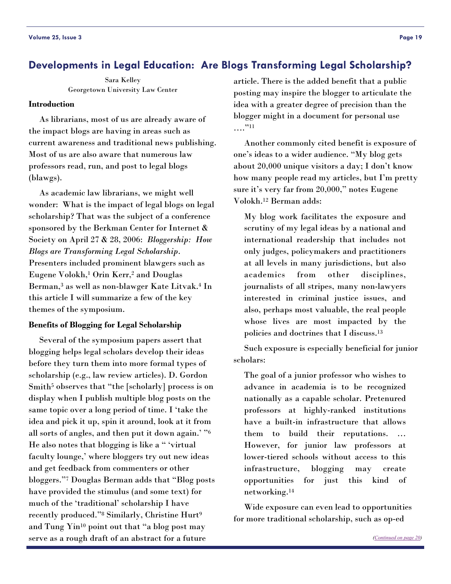# <span id="page-18-0"></span>**Developments in Legal Education: Are Blogs Transforming Legal Scholarship?**

Sara Kelley Georgetown University Law Center

#### **Introduction**

 As librarians, most of us are already aware of the impact blogs are having in areas such as current awareness and traditional news publishing. Most of us are also aware that numerous law professors read, run, and post to legal blogs (blawgs).

 As academic law librarians, we might well wonder: What is the impact of legal blogs on legal scholarship? That was the subject of a conference sponsored by the Berkman Center for Internet & Society on April 27 & 28, 2006: *Bloggership: How Blogs are Transforming Legal Scholarship*. Presenters included prominent blawgers such as Eugene Volokh,1 Orin Kerr,2 and Douglas Berman,3 as well as non-blawger Kate Litvak.4 In this article I will summarize a few of the key themes of the symposium.

#### **Benefits of Blogging for Legal Scholarship**

 Several of the symposium papers assert that blogging helps legal scholars develop their ideas before they turn them into more formal types of scholarship (e.g., law review articles). D. Gordon Smith<sup>5</sup> observes that "the [scholarly] process is on display when I publish multiple blog posts on the same topic over a long period of time. I 'take the idea and pick it up, spin it around, look at it from all sorts of angles, and then put it down again.' "6 He also notes that blogging is like a " 'virtual faculty lounge,' where bloggers try out new ideas and get feedback from commenters or other bloggers."7 Douglas Berman adds that "Blog posts have provided the stimulus (and some text) for much of the 'traditional' scholarship I have recently produced."8 Similarly, Christine Hurt9 and Tung Yin<sup>10</sup> point out that "a blog post may serve as a rough draft of an abstract for a future

article. There is the added benefit that a public posting may inspire the blogger to articulate the idea with a greater degree of precision than the blogger might in a document for personal use …."11

 Another commonly cited benefit is exposure of one's ideas to a wider audience. "My blog gets about 20,000 unique visitors a day; I don't know how many people read my articles, but I'm pretty sure it's very far from 20,000," notes Eugene Volokh.12 Berman adds:

My blog work facilitates the exposure and scrutiny of my legal ideas by a national and international readership that includes not only judges, policymakers and practitioners at all levels in many jurisdictions, but also academics from other disciplines, journalists of all stripes, many non-lawyers interested in criminal justice issues, and also, perhaps most valuable, the real people whose lives are most impacted by the policies and doctrines that I discuss.13

 Such exposure is especially beneficial for junior scholars:

The goal of a junior professor who wishes to advance in academia is to be recognized nationally as a capable scholar. Pretenured professors at highly-ranked institutions have a built-in infrastructure that allows them to build their reputations. However, for junior law professors at lower-tiered schools without access to this infrastructure, blogging may create opportunities for just this kind of networking.14

 Wide exposure can even lead to opportunities for more traditional scholarship, such as op-ed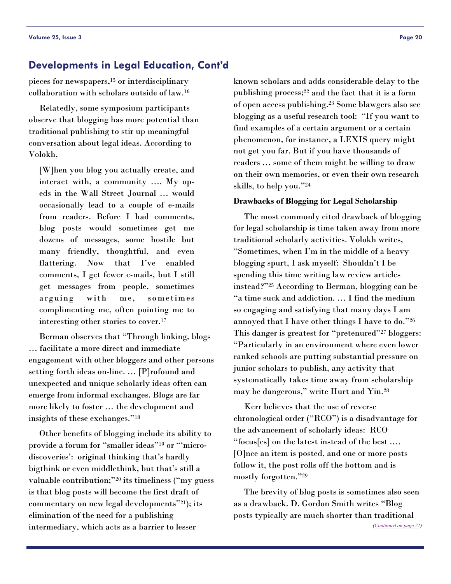# <span id="page-19-0"></span>**Developments in Legal Education, Cont'd**

pieces for newspapers,15 or interdisciplinary collaboration with scholars outside of law.16

 Relatedly, some symposium participants observe that blogging has more potential than traditional publishing to stir up meaningful conversation about legal ideas. According to Volokh,

[W]hen you blog you actually create, and interact with, a community …. My opeds in the Wall Street Journal … would occasionally lead to a couple of e-mails from readers. Before I had comments, blog posts would sometimes get me dozens of messages, some hostile but many friendly, thoughtful, and even flattering. Now that I've enabled comments, I get fewer e-mails, but I still get messages from people, sometimes arguing with me, sometimes complimenting me, often pointing me to interesting other stories to cover.17

 Berman observes that "Through linking, blogs … facilitate a more direct and immediate engagement with other bloggers and other persons setting forth ideas on-line. … [P]rofound and unexpected and unique scholarly ideas often can emerge from informal exchanges. Blogs are far more likely to foster … the development and insights of these exchanges."18

 Other benefits of blogging include its ability to provide a forum for "smaller ideas"19 or "'microdiscoveries': original thinking that's hardly bigthink or even middlethink, but that's still a valuable contribution;"20 its timeliness ("my guess is that blog posts will become the first draft of commentary on new legal developments"21); its elimination of the need for a publishing intermediary, which acts as a barrier to lesser

known scholars and adds considerable delay to the publishing process;<sup>22</sup> and the fact that it is a form of open access publishing.23 Some blawgers also see blogging as a useful research tool: "If you want to find examples of a certain argument or a certain phenomenon, for instance, a LEXIS query might not get you far. But if you have thousands of readers … some of them might be willing to draw on their own memories, or even their own research skills, to help you."24

#### **Drawbacks of Blogging for Legal Scholarship**

 The most commonly cited drawback of blogging for legal scholarship is time taken away from more traditional scholarly activities. Volokh writes, "Sometimes, when I'm in the middle of a heavy blogging spurt, I ask myself: Shouldn't I be spending this time writing law review articles instead?"25 According to Berman, blogging can be "a time suck and addiction. … I find the medium so engaging and satisfying that many days I am annoyed that I have other things I have to do."26 This danger is greatest for "pretenured"27 bloggers: "Particularly in an environment where even lower ranked schools are putting substantial pressure on junior scholars to publish, any activity that systematically takes time away from scholarship may be dangerous," write Hurt and Yin.28

 Kerr believes that the use of reverse chronological order ("RCO") is a disadvantage for the advancement of scholarly ideas: RCO "focus[es] on the latest instead of the best .… [O]nce an item is posted, and one or more posts follow it, the post rolls off the bottom and is mostly forgotten."29

 The brevity of blog posts is sometimes also seen as a drawback. D. Gordon Smith writes "Blog posts typically are much shorter than traditional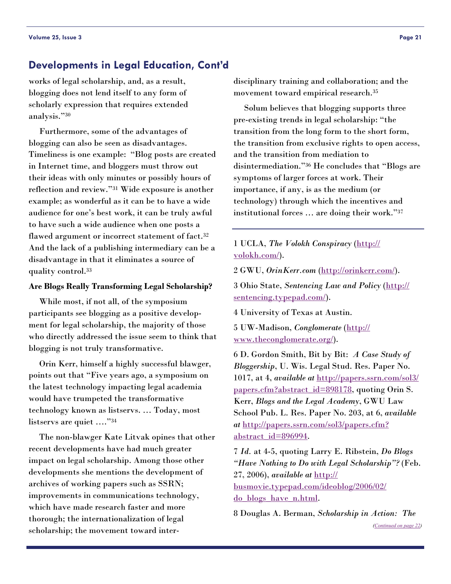# <span id="page-20-0"></span>**Developments in Legal Education, Cont'd**

works of legal scholarship, and, as a result, blogging does not lend itself to any form of scholarly expression that requires extended analysis."30

 Furthermore, some of the advantages of blogging can also be seen as disadvantages. Timeliness is one example: "Blog posts are created in Internet time, and bloggers must throw out their ideas with only minutes or possibly hours of reflection and review."31 Wide exposure is another example; as wonderful as it can be to have a wide audience for one's best work, it can be truly awful to have such a wide audience when one posts a flawed argument or incorrect statement of fact.<sup>32</sup> And the lack of a publishing intermediary can be a disadvantage in that it eliminates a source of quality control.33

#### **Are Blogs Really Transforming Legal Scholarship?**

 While most, if not all, of the symposium participants see blogging as a positive development for legal scholarship, the majority of those who directly addressed the issue seem to think that blogging is not truly transformative.

 Orin Kerr, himself a highly successful blawger, points out that "Five years ago, a symposium on the latest technology impacting legal academia would have trumpeted the transformative technology known as listservs. … Today, most listservs are quiet …."34

 The non-blawger Kate Litvak opines that other recent developments have had much greater impact on legal scholarship. Among those other developments she mentions the development of archives of working papers such as SSRN; improvements in communications technology, which have made research faster and more thorough; the internationalization of legal scholarship; the movement toward interdisciplinary training and collaboration; and the movement toward empirical research.35

 Solum believes that blogging supports three pre-existing trends in legal scholarship: "the transition from the long form to the short form, the transition from exclusive rights to open access, and the transition from mediation to disintermediation."36 He concludes that "Blogs are symptoms of larger forces at work. Their importance, if any, is as the medium (or technology) through which the incentives and institutional forces … are doing their work."37

1 UCLA, *The Volokh Conspiracy* [\(http://](http://volokh.com/) [volokh.com/](http://volokh.com/)).

2 GWU, *OrinKerr.com* (<http://orinkerr.com/>).

3 Ohio State, *Sentencing Law and Policy* ([http://](http://sentencing.typepad.com/) [sentencing.typepad.com/](http://sentencing.typepad.com/)).

4 University of Texas at Austin.

5 UW-Madison, *Conglomerate* ([http://](http://www.theconglomerate.org/) [www.theconglomerate.org/](http://www.theconglomerate.org/)).

6 D. Gordon Smith, Bit by Bit: *A Case Study of Bloggership*, U. Wis. Legal Stud. Res. Paper No. 1017, at 4, *available at* [http://papers.ssrn.com/sol3/](http://papers.ssrn.com/sol3/papers.cfm?abstract_id=898178) [papers.cfm?abstract\\_id=898178](http://papers.ssrn.com/sol3/papers.cfm?abstract_id=898178), quoting Orin S. Kerr, *Blogs and the Legal Academy*, GWU Law School Pub. L. Res. Paper No. 203, at 6, *available at* [http://papers.ssrn.com/sol3/papers.cfm?](http://papers.ssrn.com/sol3/papers.cfm?abstract_id=896994) [abstract\\_id=896994](http://papers.ssrn.com/sol3/papers.cfm?abstract_id=896994).

7 *Id.* at 4-5, quoting Larry E. Ribstein, *Do Blogs "Have Nothing to Do with Legal Scholarship"?* (Feb. 27, 2006), *available at* [http://](http://busmovie.typepad.com/ideoblog/2006/02/do_blogs_have_n.html) [busmovie.typepad.com/ideoblog/2006/02/](http://busmovie.typepad.com/ideoblog/2006/02/do_blogs_have_n.html) [do\\_blogs\\_have\\_n.html](http://busmovie.typepad.com/ideoblog/2006/02/do_blogs_have_n.html).

8 Douglas A. Berman, *Scholarship in Action: The ([Continued on page 22\)](#page-21-0)*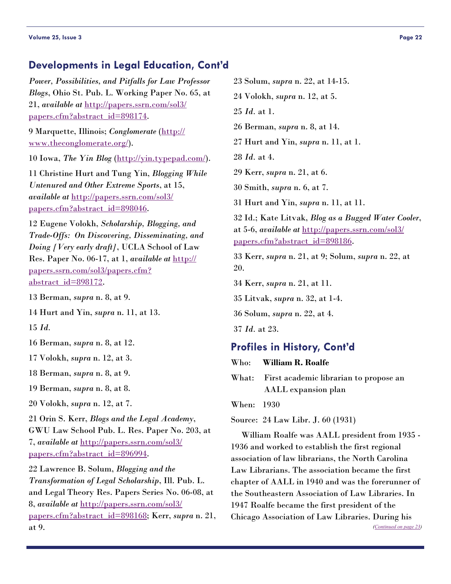# <span id="page-21-0"></span>**Developments in Legal Education, Cont'd**

*Power, Possibilities, and Pitfalls for Law Professor Blogs*, Ohio St. Pub. L. Working Paper No. 65, at 21, *available at* [http://papers.ssrn.com/sol3/](http://papers.ssrn.com/sol3/papers.cfm?abstract_id=898174) [papers.cfm?abstract\\_id=898174](http://papers.ssrn.com/sol3/papers.cfm?abstract_id=898174).

9 Marquette, Illinois; *Conglomerate* [\(http://](http://www.theconglomerate.org/) [www.theconglomerate.org/](http://www.theconglomerate.org/)).

10 Iowa, *The Yin Blog* (<http://yin.typepad.com/>).

11 Christine Hurt and Tung Yin, *Blogging While Untenured and Other Extreme Sports*, at 15, *available at* [http://papers.ssrn.com/sol3/](http://papers.ssrn.com/sol3/papers.cfm?abstract_id=898046) [papers.cfm?abstract\\_id=898046](http://papers.ssrn.com/sol3/papers.cfm?abstract_id=898046).

12 Eugene Volokh, *Scholarship, Blogging, and Trade-Offs: On Discovering, Disseminating, and Doing [Very early draft]*, UCLA School of Law Res. Paper No. 06-17, at 1, *available at* [http://](http://papers.ssrn.com/sol3/papers.cfm?abstract_id=898172) [papers.ssrn.com/sol3/papers.cfm?](http://papers.ssrn.com/sol3/papers.cfm?abstract_id=898172) [abstract\\_id=898172](http://papers.ssrn.com/sol3/papers.cfm?abstract_id=898172).

13 Berman, *supra* n. 8, at 9.

14 Hurt and Yin, *supra* n. 11, at 13.

15 *Id.*

16 Berman, *supra* n. 8, at 12.

17 Volokh, *supra* n. 12, at 3.

18 Berman, *supra* n. 8, at 9.

19 Berman, *supra* n. 8, at 8.

20 Volokh, *supra* n. 12, at 7.

21 Orin S. Kerr, *Blogs and the Legal Academy*, GWU Law School Pub. L. Res. Paper No. 203, at 7, *available at* [http://papers.ssrn.com/sol3/](http://papers.ssrn.com/sol3/papers.cfm?abstract_id=896994) [papers.cfm?abstract\\_id=896994](http://papers.ssrn.com/sol3/papers.cfm?abstract_id=896994).

22 Lawrence B. Solum, *Blogging and the Transformation of Legal Scholarship*, Ill. Pub. L. and Legal Theory Res. Papers Series No. 06-08, at 8, *available at* [http://papers.ssrn.com/sol3/](http://papers.ssrn.com/sol3/papers.cfm?abstract_id=898168) [papers.cfm?abstract\\_id=898168](http://papers.ssrn.com/sol3/papers.cfm?abstract_id=898168); Kerr, *supra* n. 21, at 9.

- 23 Solum, *supra* n. 22, at 14-15.
- 24 Volokh, *supra* n. 12, at 5.
- 25 *Id.* at 1.
- 26 Berman, *supra* n. 8, at 14.
- 27 Hurt and Yin, *supra* n. 11, at 1.
- 28 *Id.* at 4.
- 29 Kerr, *supra* n. 21, at 6.

30 Smith, *supra* n. 6, at 7.

31 Hurt and Yin, *supra* n. 11, at 11.

32 Id.; Kate Litvak, *Blog as a Bugged Water Cooler*, at 5-6, *available at* [http://papers.ssrn.com/sol3/](http://papers.ssrn.com/sol3/papers.cfm?abstract_id=898186) [papers.cfm?abstract\\_id=898186](http://papers.ssrn.com/sol3/papers.cfm?abstract_id=898186).

33 Kerr, *supra* n. 21, at 9; Solum, *supra* n. 22, at 20.

34 Kerr, *supra* n. 21, at 11.

35 Litvak, *supra* n. 32, at 1-4.

36 Solum, *supra* n. 22, at 4.

37 *Id.* at 23.

# **Profiles in History, Cont'd**

Who: **William R. Roalfe**

What: First academic librarian to propose an AALL expansion plan

When: 1930

Source: 24 Law Libr. J. 60 (1931)

 William Roalfe was AALL president from 1935 - 1936 and worked to establish the first regional association of law librarians, the North Carolina Law Librarians. The association became the first chapter of AALL in 1940 and was the forerunner of the Southeastern Association of Law Libraries. In 1947 Roalfe became the first president of the Chicago Association of Law Libraries. During his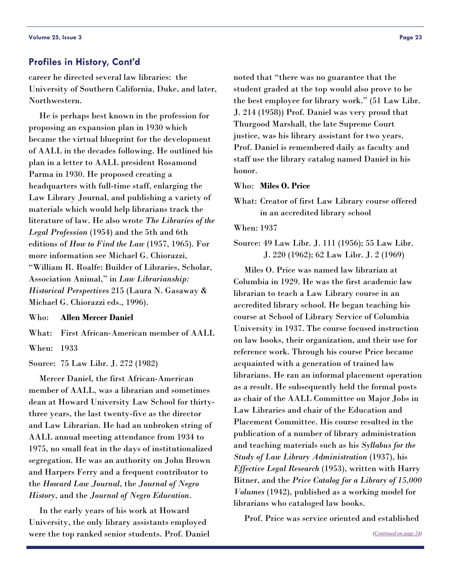#### <span id="page-22-0"></span>**Profiles in History, Cont'd**

career he directed several law libraries: the University of Southern California, Duke, and later, Northwestern.

 He is perhaps best known in the profession for proposing an expansion plan in 1930 which became the virtual blueprint for the development of AALL in the decades following. He outlined his plan in a letter to AALL president Rosamond Parma in 1930. He proposed creating a headquarters with full-time staff, enlarging the Law Library Journal, and publishing a variety of materials which would help librarians track the literature of law. He also wrote *The Libraries of the Legal Profession* (1954) and the 5th and 6th editions of *How to Find the Law* (1957, 1965). For more information see Michael G. Chiorazzi, "William R. Roalfe: Builder of Libraries, Scholar, Association Animal," in *Law Librarianship: Historical Perspectives* 215 (Laura N. Gasaway & Michael G. Chiorazzi eds., 1996).

Who: **Allen Mercer Daniel**

What: First African-American member of AALL When: 1933

Source: 75 Law Libr. J. 272 (1982)

 Mercer Daniel, the first African-American member of AALL, was a librarian and sometimes dean at Howard University Law School for thirtythree years, the last twenty-five as the director and Law Librarian. He had an unbroken string of AALL annual meeting attendance from 1934 to 1975, no small feat in the days of institutionalized segregation. He was an authority on John Brown and Harpers Ferry and a frequent contributor to the *Howard Law Journal*, the *Journal of Negro History*, and the *Journal of Negro Education*.

 In the early years of his work at Howard University, the only library assistants employed were the top ranked senior students. Prof. Daniel

noted that "there was no guarantee that the student graded at the top would also prove to be the best employee for library work." (51 Law Libr. J. 214 (1958)) Prof. Daniel was very proud that Thurgood Marshall, the late Supreme Court justice, was his library assistant for two years. Prof. Daniel is remembered daily as faculty and staff use the library catalog named Daniel in his honor.

#### Who: **Miles O. Price**

What: Creator of first Law Library course offered in an accredited library school

When: 1937

Source: 49 Law Libr. J. 111 (1956); 55 Law Libr. J. 220 (1962); 62 Law Libr. J. 2 (1969)

 Miles O. Price was named law librarian at Columbia in 1929. He was the first academic law librarian to teach a Law Library course in an accredited library school. He began teaching his course at School of Library Service of Columbia University in 1937. The course focused instruction on law books, their organization, and their use for reference work. Through his course Price became acquainted with a generation of trained law librarians. He ran an informal placement operation as a result. He subsequently held the formal posts as chair of the AALL Committee on Major Jobs in Law Libraries and chair of the Education and Placement Committee. His course resulted in the publication of a number of library administration and teaching materials such as his *Syllabus for the Study of Law Library Administration* (1937), his *Effective Legal Research* (1953), written with Harry Bitner, and the *Price Catalog for a Library of 15,000 Volumes* (1942), published as a working model for librarians who cataloged law books.

Prof. Price was service oriented and established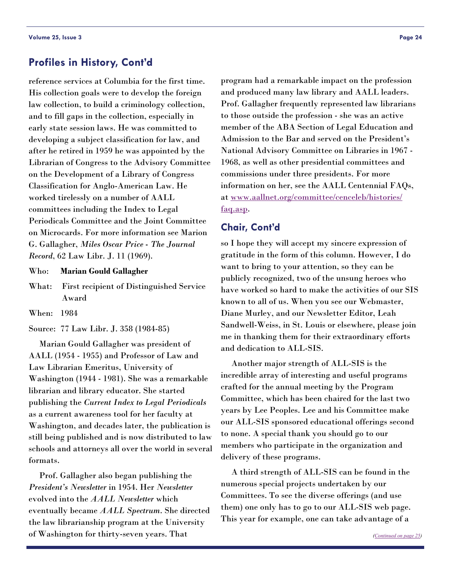# <span id="page-23-0"></span>**Profiles in History, Cont'd**

reference services at Columbia for the first time. His collection goals were to develop the foreign law collection, to build a criminology collection, and to fill gaps in the collection, especially in early state session laws. He was committed to developing a subject classification for law, and after he retired in 1959 he was appointed by the Librarian of Congress to the Advisory Committee on the Development of a Library of Congress Classification for Anglo-American Law. He worked tirelessly on a number of AALL committees including the Index to Legal Periodicals Committee and the Joint Committee on Microcards. For more information see Marion G. Gallagher, *Miles Oscar Price - The Journal Record*, 62 Law Libr. J. 11 (1969).

Who: **Marian Gould Gallagher**

What: First recipient of Distinguished Service Award

When: 1984

Source: 77 Law Libr. J. 358 (1984-85)

 Marian Gould Gallagher was president of AALL (1954 - 1955) and Professor of Law and Law Librarian Emeritus, University of Washington (1944 - 1981). She was a remarkable librarian and library educator. She started publishing the *Current Index to Legal Periodicals* as a current awareness tool for her faculty at Washington, and decades later, the publication is still being published and is now distributed to law schools and attorneys all over the world in several formats.

 Prof. Gallagher also began publishing the *President's Newsletter* in 1954. Her *Newsletter* evolved into the *AALL Newsletter* which eventually became *AALL Spectrum*. She directed the law librarianship program at the University of Washington for thirty-seven years. That

program had a remarkable impact on the profession and produced many law library and AALL leaders. Prof. Gallagher frequently represented law librarians to those outside the profession - she was an active member of the ABA Section of Legal Education and Admission to the Bar and served on the President's National Advisory Committee on Libraries in 1967 - 1968, as well as other presidential committees and commissions under three presidents. For more information on her, see the AALL Centennial FAQs,

at [www.aallnet.org/committee/cenceleb/histories/](http://www.aallnet.org/committee/cenceleb/histories/faq.asp) [faq.asp](http://www.aallnet.org/committee/cenceleb/histories/faq.asp).

# **Chair, Cont'd**

so I hope they will accept my sincere expression of gratitude in the form of this column. However, I do want to bring to your attention, so they can be publicly recognized, two of the unsung heroes who have worked so hard to make the activities of our SIS known to all of us. When you see our Webmaster, Diane Murley, and our Newsletter Editor, Leah Sandwell-Weiss, in St. Louis or elsewhere, please join me in thanking them for their extraordinary efforts and dedication to ALL-SIS.

 Another major strength of ALL-SIS is the incredible array of interesting and useful programs crafted for the annual meeting by the Program Committee, which has been chaired for the last two years by Lee Peoples. Lee and his Committee make our ALL-SIS sponsored educational offerings second to none. A special thank you should go to our members who participate in the organization and delivery of these programs.

 A third strength of ALL-SIS can be found in the numerous special projects undertaken by our Committees. To see the diverse offerings (and use them) one only has to go to our ALL-SIS web page. This year for example, one can take advantage of a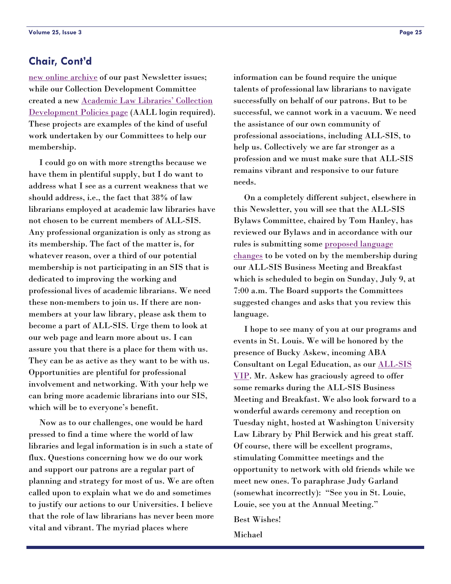# <span id="page-24-0"></span>**Chair, Cont'd**

[new online archive](http://www.aallnet.org/sis/allsis/newsletter/Archives/archive.html) of our past Newsletter issues; while our Collection Development Committee created a new [Academic Law Libraries' Collection](http://www.aallnet.org/sis/allsis/secure/Colldev/policies.asp)  [Development Policies page](http://www.aallnet.org/sis/allsis/secure/Colldev/policies.asp) (AALL login required). These projects are examples of the kind of useful work undertaken by our Committees to help our membership.

 I could go on with more strengths because we have them in plentiful supply, but I do want to address what I see as a current weakness that we should address, i.e., the fact that 38% of law librarians employed at academic law libraries have not chosen to be current members of ALL-SIS. Any professional organization is only as strong as its membership. The fact of the matter is, for whatever reason, over a third of our potential membership is not participating in an SIS that is dedicated to improving the working and professional lives of academic librarians. We need these non-members to join us. If there are nonmembers at your law library, please ask them to become a part of ALL-SIS. Urge them to look at our web page and learn more about us. I can assure you that there is a place for them with us. They can be as active as they want to be with us. Opportunities are plentiful for professional involvement and networking. With your help we can bring more academic librarians into our SIS, which will be to everyone's benefit.

 Now as to our challenges, one would be hard pressed to find a time where the world of law libraries and legal information is in such a state of flux. Questions concerning how we do our work and support our patrons are a regular part of planning and strategy for most of us. We are often called upon to explain what we do and sometimes to justify our actions to our Universities. I believe that the role of law librarians has never been more vital and vibrant. The myriad places where

information can be found require the unique talents of professional law librarians to navigate successfully on behalf of our patrons. But to be successful, we cannot work in a vacuum. We need the assistance of our own community of professional associations, including ALL-SIS, to help us. Collectively we are far stronger as a profession and we must make sure that ALL-SIS remains vibrant and responsive to our future needs.

 On a completely different subject, elsewhere in this Newsletter, you will see that the ALL-SIS Bylaws Committee, chaired by Tom Hanley, has reviewed our Bylaws and in accordance with our rules is submitting some [proposed language](#page-9-0)  [changes](#page-9-0) to be voted on by the membership during our ALL-SIS Business Meeting and Breakfast which is scheduled to begin on Sunday, July 9, at 7:00 a.m. The Board supports the Committees suggested changes and asks that you review this language.

 I hope to see many of you at our programs and events in St. Louis. We will be honored by the presence of Bucky Askew, incoming ABA Consultant on Legal Education, as our [ALL-SIS](#page-3-0)  [VIP](#page-3-0). Mr. Askew has graciously agreed to offer some remarks during the ALL-SIS Business Meeting and Breakfast. We also look forward to a wonderful awards ceremony and reception on Tuesday night, hosted at Washington University Law Library by Phil Berwick and his great staff. Of course, there will be excellent programs, stimulating Committee meetings and the opportunity to network with old friends while we meet new ones. To paraphrase Judy Garland (somewhat incorrectly): "See you in St. Louie, Louie, see you at the Annual Meeting."

Best Wishes!

Michael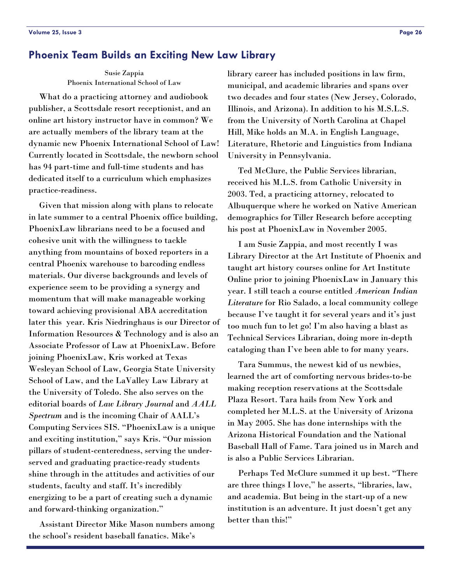#### <span id="page-25-0"></span>**Phoenix Team Builds an Exciting New Law Library**

Susie Zappia Phoenix International School of Law

 What do a practicing attorney and audiobook publisher, a Scottsdale resort receptionist, and an online art history instructor have in common? We are actually members of the library team at the dynamic new Phoenix International School of Law! Currently located in Scottsdale, the newborn school has 94 part-time and full-time students and has dedicated itself to a curriculum which emphasizes practice-readiness.

 Given that mission along with plans to relocate in late summer to a central Phoenix office building, PhoenixLaw librarians need to be a focused and cohesive unit with the willingness to tackle anything from mountains of boxed reporters in a central Phoenix warehouse to barcoding endless materials. Our diverse backgrounds and levels of experience seem to be providing a synergy and momentum that will make manageable working toward achieving provisional ABA accreditation later this year. Kris Niedringhaus is our Director of Information Resources & Technology and is also an Associate Professor of Law at PhoenixLaw. Before joining PhoenixLaw, Kris worked at Texas Wesleyan School of Law, Georgia State University School of Law, and the LaValley Law Library at the University of Toledo. She also serves on the editorial boards of *Law Library Journal* and *AALL Spectrum* and is the incoming Chair of AALL's Computing Services SIS. "PhoenixLaw is a unique and exciting institution," says Kris. "Our mission pillars of student-centeredness, serving the underserved and graduating practice-ready students shine through in the attitudes and activities of our students, faculty and staff. It's incredibly energizing to be a part of creating such a dynamic and forward-thinking organization."

 Assistant Director Mike Mason numbers among the school's resident baseball fanatics. Mike's

library career has included positions in law firm, municipal, and academic libraries and spans over two decades and four states (New Jersey, Colorado, Illinois, and Arizona). In addition to his M.S.L.S. from the University of North Carolina at Chapel Hill, Mike holds an M.A. in English Language, Literature, Rhetoric and Linguistics from Indiana University in Pennsylvania.

 Ted McClure, the Public Services librarian, received his M.L.S. from Catholic University in 2003. Ted, a practicing attorney, relocated to Albuquerque where he worked on Native American demographics for Tiller Research before accepting his post at PhoenixLaw in November 2005.

 I am Susie Zappia, and most recently I was Library Director at the Art Institute of Phoenix and taught art history courses online for Art Institute Online prior to joining PhoenixLaw in January this year. I still teach a course entitled *American Indian Literature* for Rio Salado, a local community college because I've taught it for several years and it's just too much fun to let go! I'm also having a blast as Technical Services Librarian, doing more in-depth cataloging than I've been able to for many years.

 Tara Summus, the newest kid of us newbies, learned the art of comforting nervous brides-to-be making reception reservations at the Scottsdale Plaza Resort. Tara hails from New York and completed her M.L.S. at the University of Arizona in May 2005. She has done internships with the Arizona Historical Foundation and the National Baseball Hall of Fame. Tara joined us in March and is also a Public Services Librarian.

 Perhaps Ted McClure summed it up best. "There are three things I love," he asserts, "libraries, law, and academia. But being in the start-up of a new institution is an adventure. It just doesn't get any better than this!"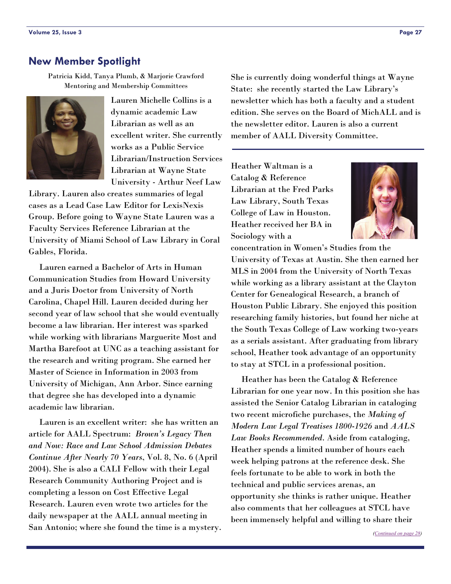# <span id="page-26-0"></span>**New Member Spotlight**

Patricia Kidd, Tanya Plumb, & Marjorie Crawford Mentoring and Membership Committees



Lauren Michelle Collins is a dynamic academic Law Librarian as well as an excellent writer. She currently works as a Public Service Librarian/Instruction Services Librarian at Wayne State University - Arthur Neef Law

Library. Lauren also creates summaries of legal cases as a Lead Case Law Editor for LexisNexis Group. Before going to Wayne State Lauren was a Faculty Services Reference Librarian at the University of Miami School of Law Library in Coral Gables, Florida.

 Lauren earned a Bachelor of Arts in Human Communication Studies from Howard University and a Juris Doctor from University of North Carolina, Chapel Hill. Lauren decided during her second year of law school that she would eventually become a law librarian. Her interest was sparked while working with librarians Marguerite Most and Martha Barefoot at UNC as a teaching assistant for the research and writing program. She earned her Master of Science in Information in 2003 from University of Michigan, Ann Arbor. Since earning that degree she has developed into a dynamic academic law librarian.

 Lauren is an excellent writer: she has written an article for AALL Spectrum: *Brown's Legacy Then and Now: Race and Law School Admission Debates Continue After Nearly 70 Years*, Vol. 8, No. 6 (April 2004). She is also a CALI Fellow with their Legal Research Community Authoring Project and is completing a lesson on Cost Effective Legal Research. Lauren even wrote two articles for the daily newspaper at the AALL annual meeting in San Antonio; where she found the time is a mystery. She is currently doing wonderful things at Wayne State: she recently started the Law Library's newsletter which has both a faculty and a student edition. She serves on the Board of MichALL and is the newsletter editor. Lauren is also a current member of AALL Diversity Committee.

Heather Waltman is a Catalog & Reference Librarian at the Fred Parks Law Library, South Texas College of Law in Houston. Heather received her BA in Sociology with a



concentration in Women's Studies from the University of Texas at Austin. She then earned her MLS in 2004 from the University of North Texas while working as a library assistant at the Clayton Center for Genealogical Research, a branch of Houston Public Library. She enjoyed this position researching family histories, but found her niche at the South Texas College of Law working two-years as a serials assistant. After graduating from library school, Heather took advantage of an opportunity to stay at STCL in a professional position.

 Heather has been the Catalog & Reference Librarian for one year now. In this position she has assisted the Senior Catalog Librarian in cataloging two recent microfiche purchases, the *Making of Modern Law Legal Treatises 1800-1926* and *AALS Law Books Recommended*. Aside from cataloging, Heather spends a limited number of hours each week helping patrons at the reference desk. She feels fortunate to be able to work in both the technical and public services arenas, an opportunity she thinks is rather unique. Heather also comments that her colleagues at STCL have been immensely helpful and willing to share their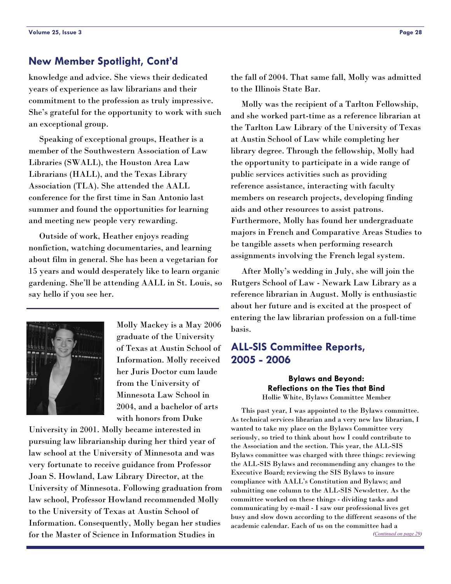# <span id="page-27-0"></span>**New Member Spotlight, Cont'd**

knowledge and advice. She views their dedicated years of experience as law librarians and their commitment to the profession as truly impressive. She's grateful for the opportunity to work with such an exceptional group.

 Speaking of exceptional groups, Heather is a member of the Southwestern Association of Law Libraries (SWALL), the Houston Area Law Librarians (HALL), and the Texas Library Association (TLA). She attended the AALL conference for the first time in San Antonio last summer and found the opportunities for learning and meeting new people very rewarding.

 Outside of work, Heather enjoys reading nonfiction, watching documentaries, and learning about film in general. She has been a vegetarian for 15 years and would desperately like to learn organic gardening. She'll be attending AALL in St. Louis, so say hello if you see her.



Molly Mackey is a May 2006 graduate of the University of Texas at Austin School of Information. Molly received her Juris Doctor cum laude from the University of Minnesota Law School in 2004, and a bachelor of arts with honors from Duke

University in 2001. Molly became interested in pursuing law librarianship during her third year of law school at the University of Minnesota and was very fortunate to receive guidance from Professor Joan S. Howland, Law Library Director, at the University of Minnesota. Following graduation from law school, Professor Howland recommended Molly to the University of Texas at Austin School of Information. Consequently, Molly began her studies for the Master of Science in Information Studies in

the fall of 2004. That same fall, Molly was admitted to the Illinois State Bar.

 Molly was the recipient of a Tarlton Fellowship, and she worked part-time as a reference librarian at the Tarlton Law Library of the University of Texas at Austin School of Law while completing her library degree. Through the fellowship, Molly had the opportunity to participate in a wide range of public services activities such as providing reference assistance, interacting with faculty members on research projects, developing finding aids and other resources to assist patrons. Furthermore, Molly has found her undergraduate majors in French and Comparative Areas Studies to be tangible assets when performing research assignments involving the French legal system.

 After Molly's wedding in July, she will join the Rutgers School of Law - Newark Law Library as a reference librarian in August. Molly is enthusiastic about her future and is excited at the prospect of entering the law librarian profession on a full-time basis.

# **ALL-SIS Committee Reports, 2005 - 2006**

**Bylaws and Beyond: Reflections on the Ties that Bind**  Hollie White, Bylaws Committee Member

 This past year, I was appointed to the Bylaws committee. As technical services librarian and a very new law librarian, I wanted to take my place on the Bylaws Committee very seriously, so tried to think about how I could contribute to the Association and the section. This year, the ALL-SIS Bylaws committee was charged with three things: reviewing the ALL-SIS Bylaws and recommending any changes to the Executive Board; reviewing the SIS Bylaws to insure compliance with AALL's Constitution and Bylaws; and submitting one column to the ALL-SIS Newsletter. As the committee worked on these things - dividing tasks and communicating by e-mail - I saw our professional lives get busy and slow down according to the different seasons of the academic calendar. Each of us on the committee had a *[\(Continued on page 29\)](#page-28-0)*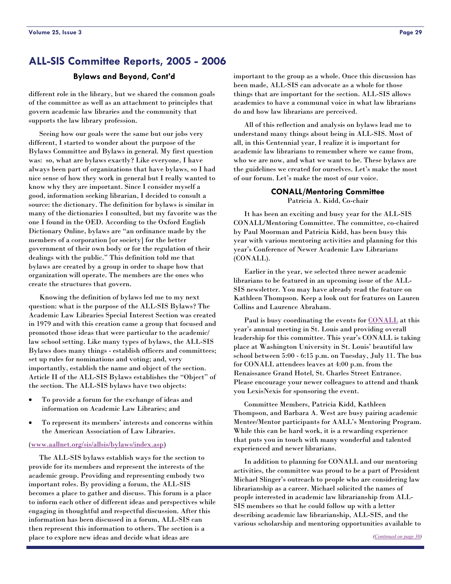#### **Bylaws and Beyond, Cont'd**

<span id="page-28-0"></span>different role in the library, but we shared the common goals of the committee as well as an attachment to principles that govern academic law libraries and the community that supports the law library profession.

 Seeing how our goals were the same but our jobs very different, I started to wonder about the purpose of the Bylaws Committee and Bylaws in general. My first question was: so, what are bylaws exactly? Like everyone, I have always been part of organizations that have bylaws, so I had nice sense of how they work in general but I really wanted to know why they are important. Since I consider myself a good, information seeking librarian, I decided to consult a source: the dictionary. The definition for bylaws is similar in many of the dictionaries I consulted, but my favorite was the one I found in the OED. According to the Oxford English Dictionary Online, bylaws are "an ordinance made by the members of a corporation [or society] for the better government of their own body or for the regulation of their dealings with the public." This definition told me that bylaws are created by a group in order to shape how that organization will operate. The members are the ones who create the structures that govern.

 Knowing the definition of bylaws led me to my next question: what is the purpose of the ALL-SIS Bylaws? The Academic Law Libraries Special Interest Section was created in 1979 and with this creation came a group that focused and promoted those ideas that were particular to the academic/ law school setting. Like many types of bylaws, the ALL-SIS Bylaws does many things - establish officers and committees; set up rules for nominations and voting; and, very importantly, establish the name and object of the section. Article II of the ALL-SIS Bylaws establishes the "Object" of the section. The ALL-SIS bylaws have two objects:

- To provide a forum for the exchange of ideas and information on Academic Law Libraries; and
- To represent its members' interests and concerns within the American Association of Law Libraries.

#### ([www.aallnet.org/sis/allsis/bylaws/index.asp](http://www.aallnet.org/sis/allsis/bylaws/index.asp))

 The ALL-SIS bylaws establish ways for the section to provide for its members and represent the interests of the academic group. Providing and representing embody two important roles. By providing a forum, the ALL-SIS becomes a place to gather and discuss. This forum is a place to inform each other of different ideas and perspectives while engaging in thoughtful and respectful discussion. After this information has been discussed in a forum, ALL-SIS can then represent this information to others. The section is a place to explore new ideas and decide what ideas are

important to the group as a whole. Once this discussion has been made, ALL-SIS can advocate as a whole for those things that are important for the section. ALL-SIS allows academics to have a communal voice in what law librarians do and how law librarians are perceived.

 All of this reflection and analysis on bylaws lead me to understand many things about being in ALL-SIS. Most of all, in this Centennial year, I realize it is important for academic law librarians to remember where we came from, who we are now, and what we want to be. These bylaws are the guidelines we created for ourselves. Let's make the most of our forum. Let's make the most of our voice.

#### **CONALL/Mentoring Committee**  Patricia A. Kidd, Co-chair

 It has been an exciting and busy year for the ALL-SIS CONALL/Mentoring Committee. The committee, co-chaired by Paul Moorman and Patricia Kidd, has been busy this year with various mentoring activities and planning for this year's Conference of Newer Academic Law Librarians (CONALL).

 Earlier in the year, we selected three newer academic librarians to be featured in an upcoming issue of the ALL-SIS newsletter. You may have already read the feature on Kathleen Thompson. Keep a look out for features on Lauren Collins and Laurence Abraham.

Paul is busy coordinating the events for [CONALL](#page-2-1) at this year's annual meeting in St. Louis and providing overall leadership for this committee. This year's CONALL is taking place at Washington University in St. Louis' beautiful law school between 5:00 - 6:15 p.m. on Tuesday, July 11. The bus for CONALL attendees leaves at 4:00 p.m. from the Renaissance Grand Hotel, St. Charles Street Entrance. Please encourage your newer colleagues to attend and thank you LexisNexis for sponsoring the event.

 Committee Members, Patricia Kidd, Kathleen Thompson, and Barbara A. West are busy pairing academic Mentee/Mentor participants for AALL's Mentoring Program. While this can be hard work, it is a rewarding experience that puts you in touch with many wonderful and talented experienced and newer librarians.

 In addition to planning for CONALL and our mentoring activities, the committee was proud to be a part of President Michael Slinger's outreach to people who are considering law librarianship as a career. Michael solicited the names of people interested in academic law librarianship from ALL-SIS members so that he could follow up with a letter describing academic law librarianship, ALL-SIS, and the various scholarship and mentoring opportunities available to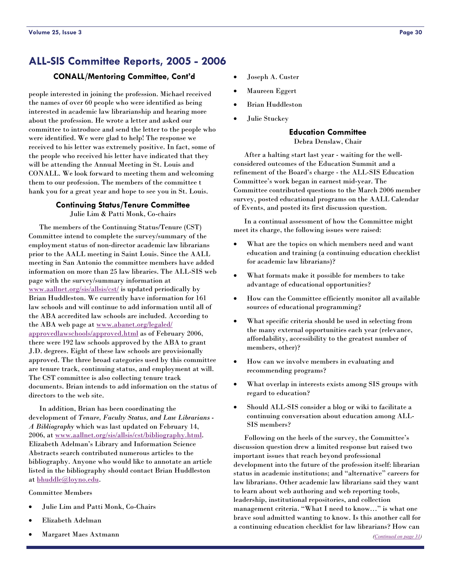#### <span id="page-29-0"></span>**CONALL/Mentoring Committee, Cont'd**

people interested in joining the profession. Michael received the names of over 60 people who were identified as being interested in academic law librarianship and hearing more about the profession. He wrote a letter and asked our committee to introduce and send the letter to the people who were identified. We were glad to help! The response we received to his letter was extremely positive. In fact, some of the people who received his letter have indicated that they will be attending the Annual Meeting in St. Louis and CONALL. We look forward to meeting them and welcoming them to our profession. The members of the committee t hank you for a great year and hope to see you in St. Louis.

#### **Continuing Status/Tenure Committee**

Julie Lim & Patti Monk, Co-chairs

 The members of the Continuing Status/Tenure (CST) Committee intend to complete the survey/summary of the employment status of non-director academic law librarians prior to the AALL meeting in Saint Louis. Since the AALL meeting in San Antonio the committee members have added information on more than 25 law libraries. The ALL-SIS web page with the survey/summary information at [www.aallnet.org/sis/allsis/cst/](http://www.aallnet.org/sis/allsis/cst/) is updated periodically by Brian Huddleston. We currently have information for 161 law schools and will continue to add information until all of the ABA accredited law schools are included. According to the ABA web page at [www.abanet.org/legaled/](http://www.abanet.org/legaled/approvedlawschools/approved.html) [approvedlawschools/approved.html](http://www.abanet.org/legaled/approvedlawschools/approved.html) as of February 2006, there were 192 law schools approved by the ABA to grant J.D. degrees. Eight of these law schools are provisionally approved. The three broad categories used by this committee are tenure track, continuing status, and employment at will. The CST committee is also collecting tenure track documents. Brian intends to add information on the status of directors to the web site.

 In addition, Brian has been coordinating the development of *Tenure, Faculty Status, and Law Librarians - A Bibliography* which was last updated on February 14, 2006, at [www.aallnet.org/sis/allsis/cst/bibliography.html.](http://www.aallnet.org/sis/allsis/cst/bibliography.html) Elizabeth Adelman's Library and Information Science Abstracts search contributed numerous articles to the bibliography. Anyone who would like to annotate an article listed in the bibliography should contact Brian Huddleston at [bhuddle@loyno.edu](mailto:bhuddle@loyno.edu).

Committee Members

- Julie Lim and Patti Monk, Co-Chairs
- Elizabeth Adelman
- Margaret Maes Axtmann
- Joseph A. Custer
- Maureen Eggert
- Brian Huddleston
- Julie Stuckey

#### **Education Committee**

Debra Denslaw, Chair

 After a halting start last year - waiting for the wellconsidered outcomes of the Education Summit and a refinement of the Board's charge - the ALL-SIS Education Committee's work began in earnest mid-year. The Committee contributed questions to the March 2006 member survey, posted educational programs on the AALL Calendar of Events, and posted its first discussion question.

 In a continual assessment of how the Committee might meet its charge, the following issues were raised:

- What are the topics on which members need and want education and training (a continuing education checklist for academic law librarians)?
- What formats make it possible for members to take advantage of educational opportunities?
- How can the Committee efficiently monitor all available sources of educational programming?
- What specific criteria should be used in selecting from the many external opportunities each year (relevance, affordability, accessibility to the greatest number of members, other)?
- How can we involve members in evaluating and recommending programs?
- What overlap in interests exists among SIS groups with regard to education?
- Should ALL-SIS consider a blog or wiki to facilitate a continuing conversation about education among ALL-SIS members?

 Following on the heels of the survey, the Committee's discussion question drew a limited response but raised two important issues that reach beyond professional development into the future of the profession itself: librarian status in academic institutions; and "alternative" careers for law librarians. Other academic law librarians said they want to learn about web authoring and web reporting tools, leadership, institutional repositories, and collection management criteria. "What I need to know…" is what one brave soul admitted wanting to know. Is this another call for a continuing education checklist for law librarians? How can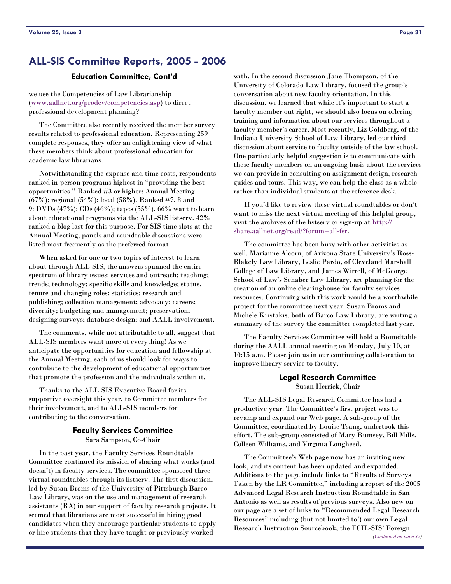#### **Education Committee, Cont'd**

<span id="page-30-0"></span>we use the Competencies of Law Librarianship ([www.aallnet.org/prodev/competencies.asp](http://www.aallnet.org/prodev/competencies.asp)) to direct professional development planning?

 The Committee also recently received the member survey results related to professional education. Representing 259 complete responses, they offer an enlightening view of what these members think about professional education for academic law librarians.

 Notwithstanding the expense and time costs, respondents ranked in-person programs highest in "providing the best opportunities." Ranked #3 or higher: Annual Meeting (67%); regional (54%); local (58%). Ranked #7, 8 and 9: DVDs (47%); CDs (46%); tapes (55%). 66% want to learn about educational programs via the ALL-SIS listserv. 42% ranked a blog last for this purpose. For SIS time slots at the Annual Meeting, panels and roundtable discussions were listed most frequently as the preferred format.

 When asked for one or two topics of interest to learn about through ALL-SIS, the answers spanned the entire spectrum of library issues: services and outreach; teaching; trends; technology; specific skills and knowledge; status, tenure and changing roles; statistics; research and publishing; collection management; advocacy; careers; diversity; budgeting and management; preservation; designing surveys; database design; and AALL involvement.

 The comments, while not attributable to all, suggest that ALL-SIS members want more of everything! As we anticipate the opportunities for education and fellowship at the Annual Meeting, each of us should look for ways to contribute to the development of educational opportunities that promote the profession and the individuals within it.

 Thanks to the ALL-SIS Executive Board for its supportive oversight this year, to Committee members for their involvement, and to ALL-SIS members for contributing to the conversation.

#### **Faculty Services Committee**  Sara Sampson, Co-Chair

 In the past year, the Faculty Services Roundtable Committee continued its mission of sharing what works (and doesn't) in faculty services. The committee sponsored three virtual roundtables through its listserv. The first discussion, led by Susan Broms of the University of Pittsburgh Barco Law Library, was on the use and management of research assistants (RA) in our support of faculty research projects. It seemed that librarians are most successful in hiring good candidates when they encourage particular students to apply or hire students that they have taught or previously worked

with. In the second discussion Jane Thompson, of the University of Colorado Law Library, focused the group's conversation about new faculty orientation. In this discussion, we learned that while it's important to start a faculty member out right, we should also focus on offering training and information about our services throughout a faculty member's career. Most recently, Liz Goldberg, of the Indiana University School of Law Library, led our third discussion about service to faculty outside of the law school. One particularly helpful suggestion is to communicate with these faculty members on an ongoing basis about the services we can provide in consulting on assignment design, research guides and tours. This way, we can help the class as a whole rather than individual students at the reference desk.

 If you'd like to review these virtual roundtables or don't want to miss the next virtual meeting of this helpful group, visit the archives of the listserv or sign-up at [http://](http://share.aallnet.org/read/?forum=all-fsr) [share.aallnet.org/read/?forum=all-fsr](http://share.aallnet.org/read/?forum=all-fsr).

 The committee has been busy with other activities as well. Marianne Alcorn, of Arizona State University's Ross-Blakely Law Library, Leslie Pardo, of Cleveland Marshall College of Law Library, and James Wirrell, of McGeorge School of Law's Schaber Law Library, are planning for the creation of an online clearinghouse for faculty services resources. Continuing with this work would be a worthwhile project for the committee next year. Susan Broms and Michele Kristakis, both of Barco Law Library, are writing a summary of the survey the committee completed last year.

 The Faculty Services Committee will hold a Roundtable during the AALL annual meeting on Monday, July 10, at 10:15 a.m. Please join us in our continuing collaboration to improve library service to faculty.

#### **Legal Research Committee**  Susan Herrick, Chair

 The ALL-SIS Legal Research Committee has had a productive year. The Committee's first project was to revamp and expand our Web page. A sub-group of the Committee, coordinated by Louise Tsang, undertook this effort. The sub-group consisted of Mary Rumsey, Bill Mills, Colleen Williams, and Virginia Lougheed.

 The Committee's Web page now has an inviting new look, and its content has been updated and expanded. Additions to the page include links to "Results of Surveys Taken by the LR Committee," including a report of the 2005 Advanced Legal Research Instruction Roundtable in San Antonio as well as results of previous surveys. Also new on our page are a set of links to "Recommended Legal Research Resources" including (but not limited to!) our own Legal Research Instruction Sourcebook; the FCIL-SIS' Foreign *[\(Continued on page 32\)](#page-31-0)*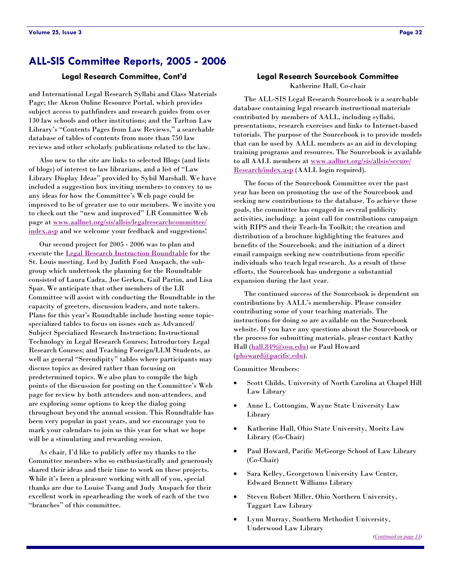#### **Legal Research Committee, Cont'd**

<span id="page-31-0"></span>and International Legal Research Syllabi and Class Materials Page; the Akron Online Resource Portal, which provides subject access to pathfinders and research guides from over 130 law schools and other institutions; and the Tarlton Law Library's "Contents Pages from Law Reviews," a searchable database of tables of contents from more than 750 law reviews and other scholarly publications related to the law.

 Also new to the site are links to selected Blogs (and lists of blogs) of interest to law librarians, and a list of "Law Library Display Ideas" provided by Sybil Marshall. We have included a suggestion box inviting members to convey to us any ideas for how the Committee's Web page could be improved to be of greater use to our members. We invite you to check out the "new and improved" LR Committee Web page at [www.aallnet.org/sis/allsis/legalresearchcommittee/](http://www.aallnet.org/sis/allsis/legalresearchcommittee/index.asp) [index.asp](http://www.aallnet.org/sis/allsis/legalresearchcommittee/index.asp) and we welcome your feedback and suggestions!

 Our second project for 2005 - 2006 was to plan and execute the [Legal Research Instruction Roundtable](#page-3-0) for the St. Louis meeting. Led by Judith Ford Anspach, the subgroup which undertook the planning for the Roundtable consisted of Laura Cadra, Joe Gerken, Gail Partin, and Lisa Spar. We anticipate that other members of the LR Committee will assist with conducting the Roundtable in the capacity of greeters, discussion leaders, and note takers. Plans for this year's Roundtable include hosting some topicspecialized tables to focus on issues such as Advanced/ Subject Specialized Research Instruction; Instructional Technology in Legal Research Courses; Introductory Legal Research Courses; and Teaching Foreign/LLM Students, as well as general "Serendipity" tables where participants may discuss topics as desired rather than focusing on predetermined topics. We also plan to compile the high points of the discussion for posting on the Committee's Web page for review by both attendees and non-attendees, and are exploring some options to keep the dialog going throughout beyond the annual session. This Roundtable has been very popular in past years, and we encourage you to mark your calendars to join us this year for what we hope will be a stimulating and rewarding session.

 As chair, I'd like to publicly offer my thanks to the Committee members who so enthusiastically and generously shared their ideas and their time to work on these projects. While it's been a pleasure working with all of you, special thanks are due to Louise Tsang and Judy Anspach for their excellent work in spearheading the work of each of the two "branches" of this committee.

#### **Legal Research Sourcebook Committee**  Katherine Hall, Co-chair

 The ALL-SIS Legal Research Sourcebook is a searchable database containing legal research instructional materials contributed by members of AALL, including syllabi, presentations, research exercises and links to Internet-based tutorials. The purpose of the Sourcebook is to provide models that can be used by AALL members as an aid in developing training programs and resources. The Sourcebook is available to all AALL members at [www.aallnet.org/sis/allsis/secure/](http://www.aallnet.org/sis/allsis/secure/Research/index.html) [Research/index.asp \(A](http://www.aallnet.org/sis/allsis/secure/Research/index.html)ALL login required).

 The focus of the Sourcebook Committee over the past year has been on promoting the use of the Sourcebook and seeking new contributions to the database. To achieve these goals, the committee has engaged in several publicity activities, including: a joint call for contributions campaign with RIPS and their Teach-In Toolkit; the creation and distribution of a brochure highlighting the features and benefits of the Sourcebook; and the initiation of a direct email campaign seeking new contributions from specific individuals who teach legal research. As a result of these efforts, the Sourcebook has undergone a substantial expansion during the last year.

 The continued success of the Sourcebook is dependent on contributions by AALL's membership. Please consider contributing some of your teaching materials. The instructions for doing so are available on the Sourcebook website. If you have any questions about the Sourcebook or the process for submitting materials, please contact Kathy Hall ([hall.849@osu.edu](mailto:hall.849@osu.edu)) or Paul Howard ([phoward@pacific.edu\)](mailto:phoward@pacific.edu).

#### Committee Members:

- Scott Childs, University of North Carolina at Chapel Hill Law Library
- Anne L. Cottongim, Wayne State University Law Library
- Katherine Hall, Ohio State University, Moritz Law Library (Co-Chair)
- Paul Howard, Pacific McGeorge School of Law Library (Co-Chair)
- Sara Kelley, Georgetown University Law Center, Edward Bennett Williams Library
- Steven Robert Miller, Ohio Northern University, Taggart Law Library
- Lynn Murray, Southern Methodist University, Underwood Law Library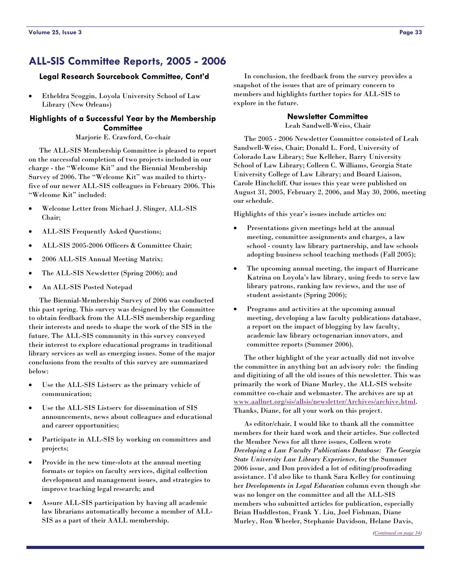#### <span id="page-32-0"></span>**Legal Research Sourcebook Committee, Cont'd**

• Etheldra Scoggin, Loyola University School of Law Library (New Orleans)

#### **Highlights of a Successful Year by the Membership Committee**

Marjorie E. Crawford, Co-chair

 The ALL-SIS Membership Committee is pleased to report on the successful completion of two projects included in our charge - the "Welcome Kit" and the Biennial Membership Survey of 2006. The "Welcome Kit" was mailed to thirtyfive of our newer ALL-SIS colleagues in February 2006. This "Welcome Kit" included:

- Welcome Letter from Michael J. Slinger, ALL-SIS Chair;
- ALL-SIS Frequently Asked Questions;
- ALL-SIS 2005-2006 Officers & Committee Chair;
- 2006 ALL-SIS Annual Meeting Matrix;
- The ALL-SIS Newsletter (Spring 2006); and
- An ALL-SIS Posted Notepad

 The Biennial-Membership Survey of 2006 was conducted this past spring. This survey was designed by the Committee to obtain feedback from the ALL-SIS membership regarding their interests and needs to shape the work of the SIS in the future. The ALL-SIS community in this survey conveyed their interest to explore educational programs in traditional library services as well as emerging issues. Some of the major conclusions from the results of this survey are summarized below:

- Use the ALL-SIS Listserv as the primary vehicle of communication;
- Use the ALL-SIS Listserv for dissemination of SIS announcements, news about colleagues and educational and career opportunities;
- Participate in ALL-SIS by working on committees and projects;
- Provide in the new time-slots at the annual meeting formats or topics on faculty services, digital collection development and management issues, and strategies to improve teaching legal research; and
- Assure ALL-SIS participation by having all academic law librarians automatically become a member of ALL-SIS as a part of their AALL membership.

 In conclusion, the feedback from the survey provides a snapshot of the issues that are of primary concern to members and highlights further topics for ALL-SIS to explore in the future.

#### **Newsletter Committee**

Leah Sandwell-Weiss, Chair

 The 2005 - 2006 Newsletter Committee consisted of Leah Sandwell-Weiss, Chair; Donald L. Ford, University of Colorado Law Library; Sue Kelleher, Barry University School of Law Library; Colleen C. Williams, Georgia State University College of Law Library; and Board Liaison, Carole Hinchcliff. Our issues this year were published on August 31, 2005, February 2, 2006, and May 30, 2006, meeting our schedule.

Highlights of this year's issues include articles on:

- Presentations given meetings held at the annual meeting, committee assignments and charges, a law school - county law library partnership, and law schools adopting business school teaching methods (Fall 2005);
- The upcoming annual meeting, the impact of Hurricane Katrina on Loyola's law library, using feeds to serve law library patrons, ranking law reviews, and the use of student assistants (Spring 2006);
- Programs and activities at the upcoming annual meeting, developing a law faculty publications database, a report on the impact of blogging by law faculty, academic law library octogenarian innovators, and committee reports (Summer 2006).

 The other highlight of the year actually did not involve the committee in anything but an advisory role: the finding and digitizing of all the old issues of this newsletter. This was primarily the work of Diane Murley, the ALL-SIS website committee co-chair and webmaster. The archives are up at [www.aallnet.org/sis/allsis/newsletter/Archives/archive.html.](http://www.aallnet.org/sis/allsis/newsletter/Archives/archive.html) Thanks, Diane, for all your work on this project.

 As editor/chair, I would like to thank all the committee members for their hard work and their articles. Sue collected the Member News for all three issues, Colleen wrote *Developing a Law Faculty Publications Database: The Georgia State University Law Library Experience*, for the Summer 2006 issue, and Don provided a lot of editing/proofreading assistance. I'd also like to thank Sara Kelley for continuing her *Developments in Legal Education* column even though she was no longer on the committee and all the ALL-SIS members who submitted articles for publication, especially Brian Huddleston, Frank Y. Liu, Joel Fishman, Diane Murley, Ron Wheeler, Stephanie Davidson, Helane Davis,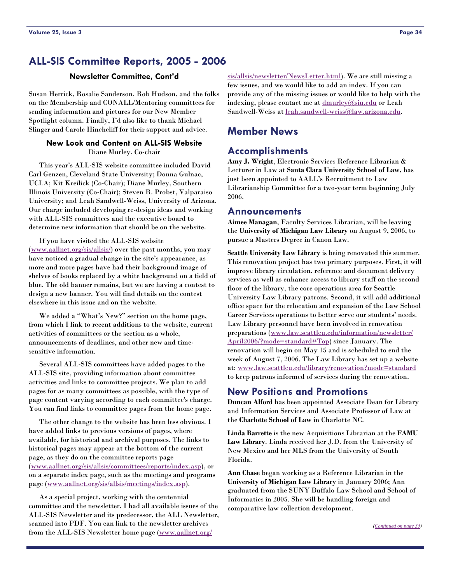<span id="page-33-0"></span>Susan Herrick, Rosalie Sanderson, Rob Hudson, and the folks on the Membership and CONALL/Mentoring committees for sending information and pictures for our New Member Spotlight column. Finally, I'd also like to thank Michael Slinger and Carole Hinchcliff for their support and advice.

#### **New Look and Content on ALL-SIS Website**  Diane Murley, Co-chair

 This year's ALL-SIS website committee included David Carl Genzen, Cleveland State University; Donna Gulnac, UCLA; Kit Kreilick (Co-Chair); Diane Murley, Southern Illinois University (Co-Chair); Steven R. Probst, Valparaiso University; and Leah Sandwell-Weiss, University of Arizona. Our charge included developing re-design ideas and working with ALL-SIS committees and the executive board to determine new information that should be on the website.

 If you have visited the ALL-SIS website ([www.aallnet.org/sis/allsis/\)](http://www.aallnet.org/sis/allsis/) over the past months, you may have noticed a gradual change in the site's appearance, as more and more pages have had their background image of shelves of books replaced by a white background on a field of blue. The old banner remains, but we are having a contest to design a new banner. You will find details on the contest elsewhere in this issue and on the website.

 We added a "What's New?" section on the home page, from which I link to recent additions to the website, current activities of committees or the section as a whole, announcements of deadlines, and other new and timesensitive information.

 Several ALL-SIS committees have added pages to the ALL-SIS site, providing information about committee activities and links to committee projects. We plan to add pages for as many committees as possible, with the type of page content varying according to each committee's charge. You can find links to committee pages from the home page.

 The other change to the website has been less obvious. I have added links to previous versions of pages, where available, for historical and archival purposes. The links to historical pages may appear at the bottom of the current page, as they do on the committee reports page ([www.aallnet.org/sis/allsis/committees/reports/index.asp](http://www.aallnet.org/sis/allsis/committees/reports/index.asp)), or on a separate index page, such as the meetings and programs page [\(www.aallnet.org/sis/allsis/meetings/index.asp](http://www.aallnet.org/sis/allsis/meetings/index.asp)).

 As a special project, working with the centennial committee and the newsletter, I had all available issues of the ALL-SIS Newsletter and its predecessor, the ALL Newsletter, scanned into PDF. You can link to the newsletter archives from the ALL-SIS Newsletter home page [\(www.aallnet.org/](http://www.aallnet.org/sis/allsis/newsletter/NewsLetter.html)

**Newsletter Committee, Cont'd** [sis/allsis/newsletter/NewsLetter.html\)](http://www.aallnet.org/sis/allsis/newsletter/NewsLetter.html). We are still missing a few issues, and we would like to add an index. If you can provide any of the missing issues or would like to help with the indexing, please contact me at [dmurley@siu.edu](mailto:dmurley@siu.edu) or Leah Sandwell-Weiss at [leah.sandwell-weiss@law.arizona.edu](mailto:leah.sandwell-weiss@law.arizona.edu).

# **Member News**

# **Accomplishments**

**Amy J. Wright**, Electronic Services Reference Librarian & Lecturer in Law at **Santa Clara University School of Law**, has just been appointed to AALL's Recruitment to Law Librarianship Committee for a two-year term beginning July 2006.

#### **Announcements**

**Aimee Managan**, Faculty Services Librarian, will be leaving the **University of Michigan Law Library** on August 9, 2006, to pursue a Masters Degree in Canon Law.

**Seattle University Law Library** is being renovated this summer. This renovation project has two primary purposes. First, it will improve library circulation, reference and document delivery services as well as enhance access to library staff on the second floor of the library, the core operations area for Seattle University Law Library patrons. Second, it will add additional office space for the relocation and expansion of the Law School Career Services operations to better serve our students' needs. Law Library personnel have been involved in renovation preparations ([www.law.seattleu.edu/information/newsletter/](http://www.law.seattleu.edu/information/newsletter/April2006/?mode=standard#Top) [April2006/?mode=standard#Top](http://www.law.seattleu.edu/information/newsletter/April2006/?mode=standard#Top)) since January. The renovation will begin on May 15 and is scheduled to end the week of August 7, 2006. The Law Library has set up a website at: [www.law.seattleu.edu/library/renovation?mode=standard](http://www.law.seattleu.edu/library/renovation?mode=standard) to keep patrons informed of services during the renovation.

#### **New Positions and Promotions**

**Duncan Alford** has been appointed Associate Dean for Library and Information Services and Associate Professor of Law at the **Charlotte School of Law** in Charlotte NC.

**Linda Barrette** is the new Acquisitions Librarian at the **FAMU Law Library**. Linda received her J.D. from the University of New Mexico and her MLS from the University of South Florida.

**Ann Chase** began working as a Reference Librarian in the **University of Michigan Law Library** in January 2006; Ann graduated from the SUNY Buffalo Law School and School of Informatics in 2005. She will be handling foreign and comparative law collection development.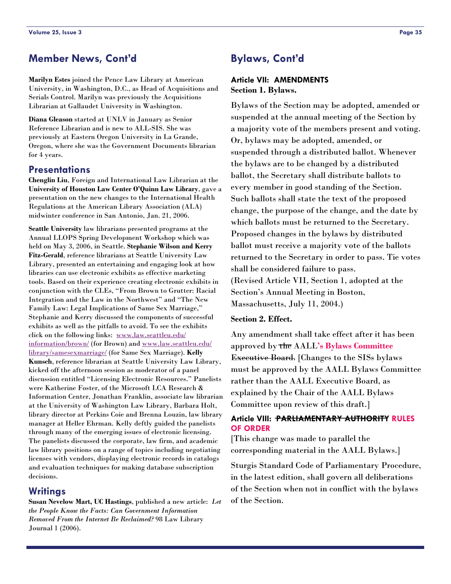# <span id="page-34-0"></span>**Member News, Cont'd**

**Marilyn Estes** joined the Pence Law Library at American University, in Washington, D.C., as Head of Acquisitions and Serials Control. Marilyn was previously the Acquisitions Librarian at Gallaudet University in Washington.

**Diana Gleason** started at UNLV in January as Senior Reference Librarian and is new to ALL-SIS. She was previously at Eastern Oregon University in La Grande, Oregon, where she was the Government Documents librarian for 4 years.

# **Presentations**

**Chenglin Liu**, Foreign and International Law Librarian at the **University of Houston Law Center O'Quinn Law Library**, gave a presentation on the new changes to the International Health Regulations at the American Library Association (ALA) midwinter conference in San Antonio, Jan. 21, 2006.

**Seattle University** law librarians presented programs at the Annual LLOPS Spring Development Workshop which was held on May 3, 2006, in Seattle. **Stephanie Wilson and Kerry Fitz-Gerald**, reference librarians at Seattle University Law Library, presented an entertaining and engaging look at how libraries can use electronic exhibits as effective marketing tools. Based on their experience creating electronic exhibits in conjunction with the CLEs, "From Brown to Grutter: Racial Integration and the Law in the Northwest" and "The New Family Law: Legal Implications of Same Sex Marriage," Stephanie and Kerry discussed the components of successful exhibits as well as the pitfalls to avoid. To see the exhibits click on the following links: [www.law.seattleu.edu/](http://www.law.seattleu.edu/information/brown/) [information/brown/](http://www.law.seattleu.edu/information/brown/) (for Brown) and [www.law.seattleu.edu/](http://www.law.seattleu.edu/library/samesexmarriage/) [library/samesexmarriage/](http://www.law.seattleu.edu/library/samesexmarriage/) (for Same Sex Marriage). **Kelly Kunsch**, reference librarian at Seattle University Law Library, kicked off the afternoon session as moderator of a panel discussion entitled "Licensing Electronic Resources." Panelists were Katherine Foster, of the Microsoft LCA Research & Information Center, Jonathan Franklin, associate law librarian at the University of Washington Law Library, Barbara Holt, library director at Perkins Coie and Brenna Louzin, law library manager at Heller Ehrman. Kelly deftly guided the panelists through many of the emerging issues of electronic licensing. The panelists discussed the corporate, law firm, and academic law library positions on a range of topics including negotiating licenses with vendors, displaying electronic records in catalogs and evaluation techniques for making database subscription decisions.

# **Writings**

**Susan Nevelow Mart, UC Hastings**, published a new article: *Let the People Know the Facts: Can Government Information Removed From the Internet Be Reclaimed?* 98 Law Library Journal 1 (2006).

# **Bylaws, Cont'd**

# **Article VII: AMENDMENTS Section 1. Bylaws.**

Bylaws of the Section may be adopted, amended or suspended at the annual meeting of the Section by a majority vote of the members present and voting. Or, bylaws may be adopted, amended, or suspended through a distributed ballot. Whenever the bylaws are to be changed by a distributed ballot, the Secretary shall distribute ballots to every member in good standing of the Section. Such ballots shall state the text of the proposed change, the purpose of the change, and the date by which ballots must be returned to the Secretary. Proposed changes in the bylaws by distributed ballot must receive a majority vote of the ballots returned to the Secretary in order to pass. Tie votes shall be considered failure to pass. (Revised Article VII, Section 1, adopted at the Section's Annual Meeting in Boston, Massachusetts, July 11, 2004.)

#### **Section 2. Effect.**

Any amendment shall take effect after it has been approved by the AALL**'s Bylaws Committee** Executive Board. [Changes to the SISs bylaws must be approved by the AALL Bylaws Committee rather than the AALL Executive Board, as explained by the Chair of the AALL Bylaws Committee upon review of this draft.]

#### **Article VIII: PARLIAMENTARY AUTHORITY RULES OF ORDER**

[This change was made to parallel the corresponding material in the AALL Bylaws.]

Sturgis Standard Code of Parliamentary Procedure, in the latest edition, shall govern all deliberations of the Section when not in conflict with the bylaws of the Section.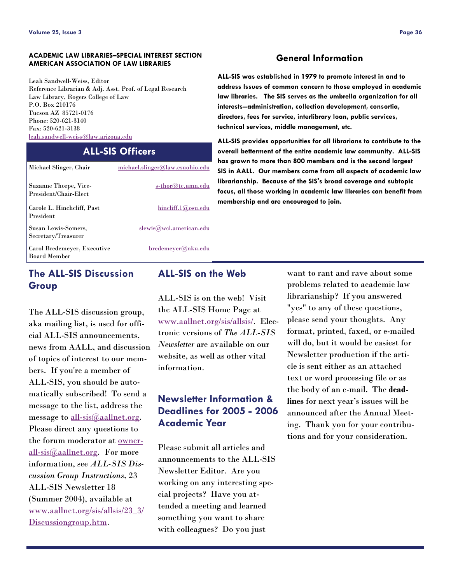#### **ACADEMIC LAW LIBRARIES–SPECIAL INTEREST SECTION AMERICAN ASSOCIATION OF LAW LIBRARIES**

Leah Sandwell-Weiss, Editor Reference Librarian & Adj. Asst. Prof. of Legal Research Law Library, Rogers College of Law P.O. Box 210176 Tucson AZ 85721-0176 Phone: 520-621-3140 Fax: 520-621-3138 [leah.sandwell-weiss@law.arizona.edu](mailto:leah.sandwell-weiss@law.arizona.edu)

# **ALL-SIS Officers**

| Michael Slinger, Chair                             | michael.slinger@law.csuohio.edu |
|----------------------------------------------------|---------------------------------|
| Suzanne Thorpe, Vice-<br>President/Chair-Elect     | s-thor@tc.umn.edu               |
| Carole L. Hinchcliff, Past<br>President            | hincliff.1@osu.edu              |
| Susan Lewis-Somers,<br>Secretary/Treasurer         | slewis@wcl.american.edu         |
| Carol Bredemeyer, Executive<br><b>Board Member</b> | bredemeyer@nku.edu              |
|                                                    |                                 |

# **The ALL-SIS Discussion Group**

The ALL-SIS discussion group, aka mailing list, is used for official ALL-SIS announcements, news from AALL, and discussion of topics of interest to our members. If you're a member of ALL-SIS, you should be automatically subscribed! To send a message to the list, address the message to [all-sis@aallnet.org](mailto:all-sis@aallnet.org)*.*  Please direct any questions to the forum moderator at [owner](mailto:owner-all-sis@aallnet.org)[all-sis@aallnet.org](mailto:owner-all-sis@aallnet.org)*.* For more information, see *ALL-SIS Discussion Group Instructions*, 23 ALL-SIS Newsletter 18 (Summer 2004), available at [www.aallnet.org/sis/allsis/23\\_3/](http://www.aallnet.org/sis/allsis/23_3/Discussiongroup.htm) [Discussiongroup.htm](http://www.aallnet.org/sis/allsis/23_3/Discussiongroup.htm).

# **ALL-SIS on the Web**

ALL-SIS is on the web! Visit the ALL-SIS Home Page at [www.aallnet.org/sis/allsis/](http://www.aallnet.org/sis/allsis/). Electronic versions of *The ALL-SIS Newsletter* are available on our website, as well as other vital information.

# **Newsletter Information & Deadlines for 2005 - 2006 Academic Year**

Please submit all articles and announcements to the ALL-SIS Newsletter Editor. Are you working on any interesting special projects? Have you attended a meeting and learned something you want to share with colleagues? Do you just

#### **General Information**

**ALL-SIS was established in 1979 to promote interest in and to address Issues of common concern to those employed in academic law libraries. The SIS serves as the umbrella organization for all interests--administration, collection development, consortia, directors, fees for service, interlibrary loan, public services, technical services, middle management, etc.** 

**ALL-SIS provides opportunities for all librarians to contribute to the overall betterment of the entire academic law community. ALL-SIS has grown to more than 800 members and is the second largest SIS in AALL. Our members come from all aspects of academic law librarianship. Because of the SIS's broad coverage and subtopic focus, all those working in academic law libraries can benefit from membership and are encouraged to join.** 

> want to rant and rave about some problems related to academic law librarianship? If you answered "yes" to any of these questions, please send your thoughts. Any format, printed, faxed, or e-mailed will do, but it would be easiest for Newsletter production if the article is sent either as an attached text or word processing file or as the body of an e-mail. The **deadlines** for next year's issues will be announced after the Annual Meeting. Thank you for your contributions and for your consideration.